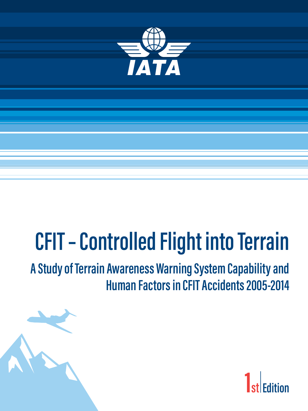

# **CFIT – Controlled Flight into Terrain**

## **A Study of Terrain Awareness Warning System Capability and Human Factors in CFIT Accidents 2005-2014**

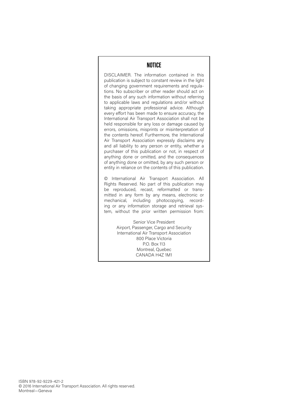#### **NOTICE**

DISCLAIMER. The information contained in this publication is subject to constant review in the light of changing government requirements and regulations. No subscriber or other reader should act on the basis of any such information without referring to applicable laws and regulations and/or without taking appropriate professional advice. Although every effort has been made to ensure accuracy, the International Air Transport Association shall not be held responsible for any loss or damage caused by errors, omissions, misprints or misinterpretation of the contents hereof. Furthermore, the International Air Transport Association expressly disclaims any and all liability to any person or entity, whether a purchaser of this publication or not, in respect of anything done or omitted, and the consequences of anything done or omitted, by any such person or entity in reliance on the contents of this publication.

© International Air Transport Association. All Rights Reserved. No part of this publication may be reproduced, recast, reformatted or transmitted in any form by any means, electronic or mechanical, including photocopying, recording or any information storage and retrieval system, without the prior written permission from:

> Senior Vice President Airport, Passenger, Cargo and Security International Air Transport Association 800 Place Victoria P.O. Box 113 Montreal, Quebec CANADA H4Z 1M1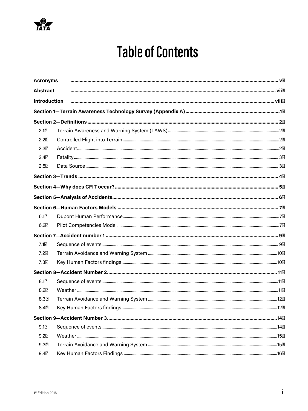

## **Table of Contents**

| <b>Acronyms</b>     |  |
|---------------------|--|
| <b>Abstract</b>     |  |
| <b>Introduction</b> |  |
|                     |  |
|                     |  |
| 2.1                 |  |
| 2.2                 |  |
| 2.3                 |  |
| 2.4                 |  |
| 2.5                 |  |
|                     |  |
|                     |  |
|                     |  |
|                     |  |
| 6.1                 |  |
| 6.2                 |  |
|                     |  |
| 7.1                 |  |
| 7.2                 |  |
| 7.3                 |  |
|                     |  |
| 8.1                 |  |
| 8.2                 |  |
| 8.3                 |  |
| 8.4                 |  |
|                     |  |
| 9.1                 |  |
| 9.2                 |  |
| 9.3                 |  |
| 9.4                 |  |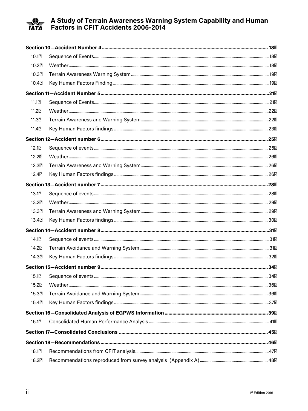

## A Study of Terrain Awareness Warning System Capability and Human<br>Factors in CFIT Accidents 2005-2014

| 10.1 |    |
|------|----|
| 10.2 |    |
| 10.3 |    |
| 10.4 |    |
|      |    |
| 11.1 |    |
| 11.2 |    |
| 11.3 |    |
| 11.4 |    |
|      |    |
| 12.1 |    |
| 12.2 |    |
| 12.3 |    |
| 12.4 |    |
|      |    |
| 13.1 |    |
| 13.2 |    |
| 13.3 |    |
| 13.4 |    |
|      |    |
| 14.1 |    |
| 14.2 |    |
| 14.3 |    |
|      |    |
| 15.1 | 34 |
| 15.2 |    |
| 15.3 |    |
| 15.4 |    |
|      |    |
| 16.1 |    |
|      |    |
|      |    |
| 18.1 |    |
| 18.2 |    |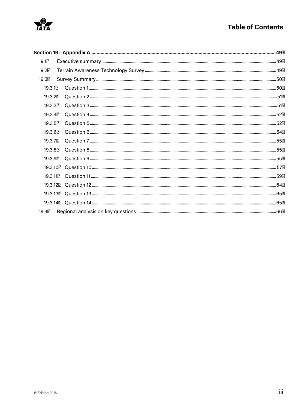



| 19.1    |  |
|---------|--|
| 19.2    |  |
| 19.3    |  |
| 19.3.1  |  |
| 19.3.2  |  |
| 19.3.3  |  |
| 19.3.4  |  |
| 19.3.5  |  |
| 19.3.6  |  |
| 19.3.7  |  |
| 19.3.8  |  |
| 19.3.9  |  |
| 19.3.10 |  |
| 19.3.11 |  |
| 19.3.12 |  |
| 19.3.13 |  |
| 19.3.14 |  |
| 19.4    |  |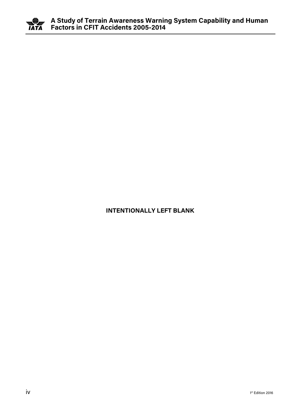

**INTENTIONALLY LEFT BLANK**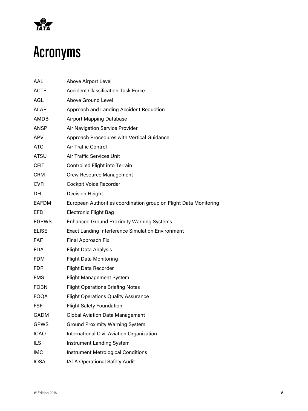

## <span id="page-6-0"></span>**Acronyms**

| AAL          | Above Airport Level                                               |
|--------------|-------------------------------------------------------------------|
| <b>ACTF</b>  | <b>Accident Classification Task Force</b>                         |
| AGL          | Above Ground Level                                                |
| ALAR         | Approach and Landing Accident Reduction                           |
| AMDB         | <b>Airport Mapping Database</b>                                   |
| ANSP         | Air Navigation Service Provider                                   |
| <b>APV</b>   | Approach Procedures with Vertical Guidance                        |
| <b>ATC</b>   | Air Traffic Control                                               |
| <b>ATSU</b>  | <b>Air Traffic Services Unit</b>                                  |
| <b>CFIT</b>  | Controlled Flight into Terrain                                    |
| <b>CRM</b>   | Crew Resource Management                                          |
| CVR          | Cockpit Voice Recorder                                            |
| <b>DH</b>    | <b>Decision Height</b>                                            |
| <b>EAFDM</b> | European Authorities coordination group on Flight Data Monitoring |
| <b>EFB</b>   | <b>Electronic Flight Bag</b>                                      |
| <b>EGPWS</b> | <b>Enhanced Ground Proximity Warning Systems</b>                  |
| <b>ELISE</b> | <b>Exact Landing Interference Simulation Environment</b>          |
| <b>FAF</b>   | Final Approach Fix                                                |
| <b>FDA</b>   | <b>Flight Data Analysis</b>                                       |
| <b>FDM</b>   | <b>Flight Data Monitoring</b>                                     |
| FDR.         | Flight Data Recorder                                              |
| <b>FMS</b>   | Flight Management System                                          |
| <b>FOBN</b>  | <b>Flight Operations Briefing Notes</b>                           |
| <b>FOQA</b>  | <b>Flight Operations Quality Assurance</b>                        |
| <b>FSF</b>   | <b>Flight Safety Foundation</b>                                   |
| <b>GADM</b>  | <b>Global Aviation Data Management</b>                            |
| <b>GPWS</b>  | <b>Ground Proximity Warning System</b>                            |
| <b>ICAO</b>  | <b>International Civil Aviation Organization</b>                  |
| <b>ILS</b>   | Instrument Landing System                                         |
| <b>IMC</b>   | <b>Instrument Metrological Conditions</b>                         |
| <b>IOSA</b>  | IATA Operational Safety Audit                                     |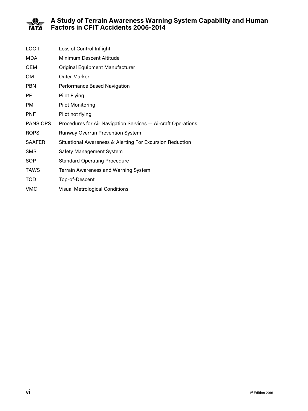## **TATA**

#### **A Study of Terrain Awareness Warning System Capability and Human Factors in CFIT Accidents 2005-2014**

| LOC-I         | Loss of Control Inflight                                     |
|---------------|--------------------------------------------------------------|
| MDA           | Minimum Descent Altitude                                     |
| <b>OEM</b>    | <b>Original Equipment Manufacturer</b>                       |
| OM            | <b>Outer Marker</b>                                          |
| <b>PBN</b>    | Performance Based Navigation                                 |
| <b>PF</b>     | Pilot Flying                                                 |
| <b>PM</b>     | <b>Pilot Monitoring</b>                                      |
| <b>PNF</b>    | Pilot not flying                                             |
| PANS OPS      | Procedures for Air Navigation Services - Aircraft Operations |
| <b>ROPS</b>   | <b>Runway Overrun Prevention System</b>                      |
| <b>SAAFER</b> | Situational Awareness & Alerting For Excursion Reduction     |
| <b>SMS</b>    | Safety Management System                                     |
| SOP           | <b>Standard Operating Procedure</b>                          |
| <b>TAWS</b>   | <b>Terrain Awareness and Warning System</b>                  |
| <b>TOD</b>    | Top-of-Descent                                               |
| <b>VMC</b>    | <b>Visual Metrological Conditions</b>                        |
|               |                                                              |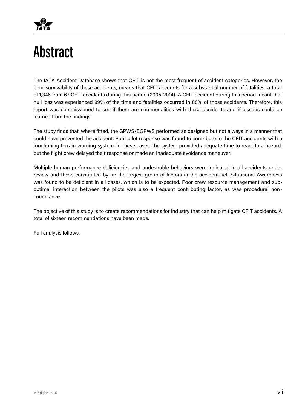

## **Abstract**

The IATA Accident Database shows that CFIT is not the most frequent of accident categories. However, the poor survivability of these accidents, means that CFIT accounts for a substantial number of fatalities: a total of 1,346 from 67 CFIT accidents during this period (2005-2014). A CFIT accident during this period meant that hull loss was experienced 99% of the time and fatalities occurred in 88% of those accidents. Therefore, this report was commissioned to see if there are commonalities with these accidents and if lessons could be learned from the findings.

The study finds that, where fitted, the GPWS/EGPWS performed as designed but not always in a manner that could have prevented the accident. Poor pilot response was found to contribute to the CFIT accidents with a functioning terrain warning system. In these cases, the system provided adequate time to react to a hazard, but the flight crew delayed their response or made an inadequate avoidance maneuver.

Multiple human performance deficiencies and undesirable behaviors were indicated in all accidents under review and these constituted by far the largest group of factors in the accident set. Situational Awareness was found to be deficient in all cases, which is to be expected. Poor crew resource management and suboptimal interaction between the pilots was also a frequent contributing factor, as was procedural noncompliance.

The objective of this study is to create recommendations for industry that can help mitigate CFIT accidents. A total of sixteen recommendations have been made.

Full analysis follows.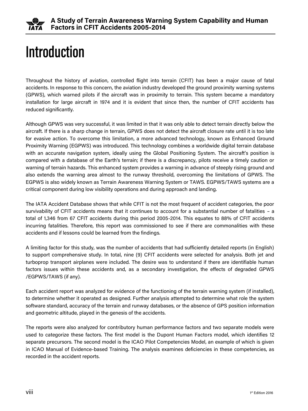## <span id="page-9-0"></span>**Introduction**

Throughout the history of aviation, controlled flight into terrain (CFIT) has been a major cause of fatal accidents. In response to this concern, the aviation industry developed the ground proximity warning systems (GPWS), which warned pilots if the aircraft was in proximity to terrain. This system became a mandatory installation for large aircraft in 1974 and it is evident that since then, the number of CFIT accidents has reduced significantly.

Although GPWS was very successful, it was limited in that it was only able to detect terrain directly below the aircraft. If there is a sharp change in terrain, GPWS does not detect the aircraft closure rate until it is too late for evasive action. To overcome this limitation, a more advanced technology, known as Enhanced Ground Proximity Warning (EGPWS) was introduced. This technology combines a worldwide digital terrain database with an accurate navigation system, ideally using the Global Positioning System. The aircraft's position is compared with a database of the Earth's terrain; if there is a discrepancy, pilots receive a timely caution or warning of terrain hazards. This enhanced system provides a warning in advance of steeply rising ground and also extends the warning area almost to the runway threshold, overcoming the limitations of GPWS. The EGPWS is also widely known as Terrain Awareness Warning System or TAWS. EGPWS/TAWS systems are a critical component during low visibility operations and during approach and landing.

The IATA Accident Database shows that while CFIT is not the most frequent of accident categories, the poor survivability of CFIT accidents means that it continues to account for a substantial number of fatalities – a total of 1,346 from 67 CFIT accidents during this period 2005-2014. This equates to 88% of CFIT accidents incurring fatalities. Therefore, this report was commissioned to see if there are commonalities with these accidents and if lessons could be learned from the findings.

A limiting factor for this study, was the number of accidents that had sufficiently detailed reports (in English) to support comprehensive study. In total, nine (9) CFIT accidents were selected for analysis. Both jet and turboprop transport airplanes were included. The desire was to understand if there are identifiable human factors issues within these accidents and, as a secondary investigation, the effects of degraded GPWS /EGPWS/TAWS (if any).

Each accident report was analyzed for evidence of the functioning of the terrain warning system (if installed), to determine whether it operated as designed. Further analysis attempted to determine what role the system software standard, accuracy of the terrain and runway databases, or the absence of GPS position information and geometric altitude, played in the genesis of the accidents.

The reports were also analyzed for contributory human performance factors and two separate models were used to categorize these factors. The first model is the Dupont Human Factors model, which identifies 12 separate precursors. The second model is the ICAO Pilot Competencies Model, an example of which is given in ICAO Manual of Evidence-based Training. The analysis examines deficiencies in these competencies, as recorded in the accident reports.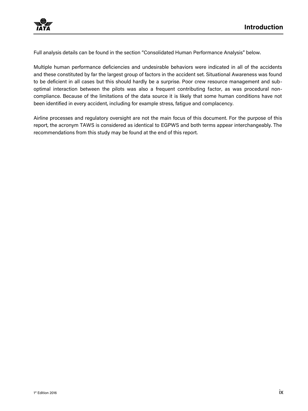

Full analysis details can be found in the section "Consolidated Human Performance Analysis" below.

Multiple human performance deficiencies and undesirable behaviors were indicated in all of the accidents and these constituted by far the largest group of factors in the accident set. Situational Awareness was found to be deficient in all cases but this should hardly be a surprise. Poor crew resource management and suboptimal interaction between the pilots was also a frequent contributing factor, as was procedural noncompliance. Because of the limitations of the data source it is likely that some human conditions have not been identified in every accident, including for example stress, fatigue and complacency.

Airline processes and regulatory oversight are not the main focus of this document. For the purpose of this report, the acronym TAWS is considered as identical to EGPWS and both terms appear interchangeably. The recommendations from this study may be found at the end of this report.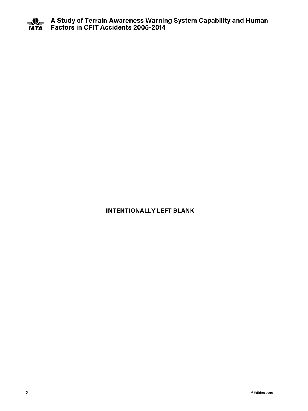

**INTENTIONALLY LEFT BLANK**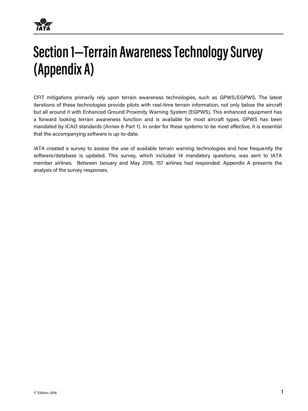

## <span id="page-12-0"></span>Section 1—**Terrain Awareness Technology Survey (Appendix A)**

CFIT mitigations primarily rely upon terrain awareness technologies, such as GPWS/EGPWS. The latest iterations of these technologies provide pilots with real-time terrain information, not only below the aircraft but all around it with Enhanced Ground Proximity Warning System (EGPWS). This enhanced equipment has a forward looking terrain awareness function and is available for most aircraft types. GPWS has been mandated by ICAO standards (Annex 6 Part 1). In order for these systems to be most effective, it is essential that the accompanying software is up-to-date.

IATA created a survey to assess the use of available terrain warning technologies and how frequently the software/database is updated. This survey, which included 14 mandatory questions, was sent to IATA member airlines. Between January and May 2016, 157 airlines had responded. Appendix A presents the analysis of the survey responses.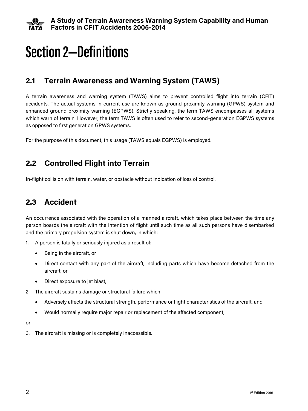

## <span id="page-13-0"></span>Section 2—**Definitions**

## <span id="page-13-1"></span>**2.1 Terrain Awareness and Warning System (TAWS)**

A terrain awareness and warning system (TAWS) aims to prevent controlled flight into terrain (CFIT) accidents. The actual systems in current use are known as ground proximity warning (GPWS) system and enhanced ground proximity warning (EGPWS). Strictly speaking, the term TAWS encompasses all systems which warn of terrain. However, the term TAWS is often used to refer to second-generation EGPWS systems as opposed to first generation GPWS systems.

<span id="page-13-2"></span>For the purpose of this document, this usage (TAWS equals EGPWS) is employed.

## **2.2 Controlled Flight into Terrain**

<span id="page-13-3"></span>In-flight collision with terrain, water, or obstacle without indication of loss of control.

## **2.3 Accident**

An occurrence associated with the operation of a manned aircraft, which takes place between the time any person boards the aircraft with the intention of flight until such time as all such persons have disembarked and the primary propulsion system is shut down, in which:

- 1. A person is fatally or seriously injured as a result of:
	- Being in the aircraft, or
	- Direct contact with any part of the aircraft, including parts which have become detached from the aircraft, or
	- Direct exposure to jet blast,
- 2. The aircraft sustains damage or structural failure which:
	- Adversely affects the structural strength, performance or flight characteristics of the aircraft, and
	- Would normally require major repair or replacement of the affected component,

or

3. The aircraft is missing or is completely inaccessible.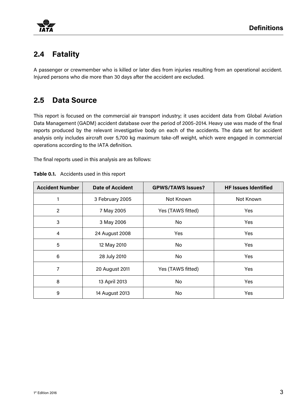



### <span id="page-14-0"></span>**2.4 Fatality**

<span id="page-14-1"></span>A passenger or crewmember who is killed or later dies from injuries resulting from an operational accident. Injured persons who die more than 30 days after the accident are excluded.

### **2.5 Data Source**

This report is focused on the commercial air transport industry; it uses accident data from Global Aviation Data Management (GADM) accident database over the period of 2005-2014. Heavy use was made of the final reports produced by the relevant investigative body on each of the accidents. The data set for accident analysis only includes aircraft over 5,700 kg maximum take-off weight, which were engaged in commercial operations according to the IATA definition.

The final reports used in this analysis are as follows:

| <b>Accident Number</b> | <b>Date of Accident</b> | <b>GPWS/TAWS Issues?</b> | <b>HF Issues Identified</b> |
|------------------------|-------------------------|--------------------------|-----------------------------|
|                        | 3 February 2005         | Not Known                | Not Known                   |
| $\overline{c}$         | 7 May 2005              | Yes (TAWS fitted)        | <b>Yes</b>                  |
| 3                      | 3 May 2006              | No.                      | <b>Yes</b>                  |
| 4                      | 24 August 2008          | Yes                      | <b>Yes</b>                  |
| 5                      | 12 May 2010             | No                       | <b>Yes</b>                  |
| 6                      | 28 July 2010            | No.                      | <b>Yes</b>                  |
| 7                      | 20 August 2011          | Yes (TAWS fitted)        | <b>Yes</b>                  |
| 8                      | 13 April 2013           | No.                      | <b>Yes</b>                  |
| 9                      | 14 August 2013          | No.                      | Yes                         |

|  | Table 0.1. Accidents used in this report |
|--|------------------------------------------|
|--|------------------------------------------|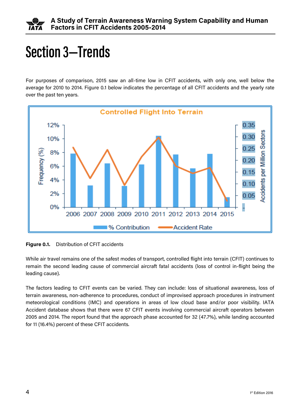

## <span id="page-15-0"></span>Section 3—**Trends**

For purposes of comparison, 2015 saw an all-time low in CFIT accidents, with only one, well below the average for 2010 to 2014. Figure 0.1 below indicates the percentage of all CFIT accidents and the yearly rate over the past ten years.



**Figure 0.1.** Distribution of CFIT accidents

While air travel remains one of the safest modes of transport, controlled flight into terrain (CFIT) continues to remain the second leading cause of commercial aircraft fatal accidents (loss of control in-flight being the leading cause).

The factors leading to CFIT events can be varied. They can include: loss of situational awareness, loss of terrain awareness, non-adherence to procedures, conduct of improvised approach procedures in instrument meteorological conditions (IMC) and operations in areas of low cloud base and/or poor visibility. IATA Accident database shows that there were 67 CFIT events involving commercial aircraft operators between 2005 and 2014. The report found that the approach phase accounted for 32 (47.7%), while landing accounted for 11 (16.4%) percent of these CFIT accidents.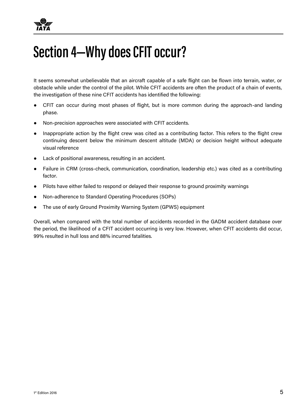

## Section 4—**Why does CFIT occur?**

It seems somewhat unbelievable that an aircraft capable of a safe flight can be flown into terrain, water, or obstacle while under the control of the pilot. While CFIT accidents are often the product of a chain of events, the investigation of these nine CFIT accidents has identified the following:

- CFIT can occur during most phases of flight, but is more common during the approach-and landing phase.
- Non-precision approaches were associated with CFIT accidents.
- Inappropriate action by the flight crew was cited as a contributing factor. This refers to the flight crew continuing descent below the minimum descent altitude (MDA) or decision height without adequate visual reference
- Lack of positional awareness, resulting in an accident.
- Failure in CRM (cross-check, communication, coordination, leadership etc.) was cited as a contributing factor.
- Pilots have either failed to respond or delayed their response to ground proximity warnings
- Non-adherence to Standard Operating Procedures (SOPs)
- The use of early Ground Proximity Warning System (GPWS) equipment

Overall, when compared with the total number of accidents recorded in the GADM accident database over the period, the likelihood of a CFIT accident occurring is very low. However, when CFIT accidents did occur, 99% resulted in hull loss and 88% incurred fatalities.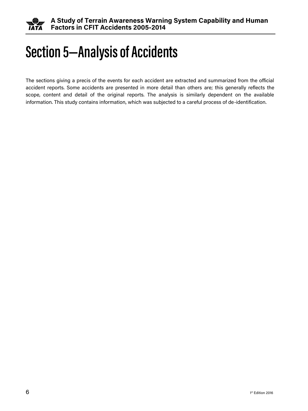

## <span id="page-17-0"></span>Section 5—**Analysis of Accidents**

The sections giving a precis of the events for each accident are extracted and summarized from the official accident reports. Some accidents are presented in more detail than others are; this generally reflects the scope, content and detail of the original reports. The analysis is similarly dependent on the available information. This study contains information, which was subjected to a careful process of de-identification.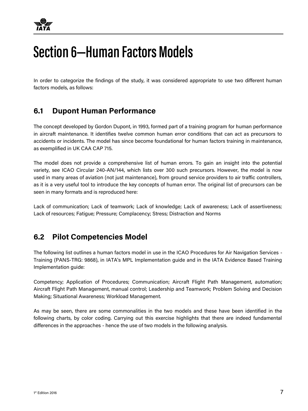

## Section 6—**Human Factors Models**

<span id="page-18-0"></span>In order to categorize the findings of the study, it was considered appropriate to use two different human factors models, as follows:

### **6.1 Dupont Human Performance**

The concept developed by Gordon Dupont, in 1993, formed part of a training program for human performance in aircraft maintenance. It identifies twelve common human error conditions that can act as precursors to accidents or incidents. The model has since become foundational for human factors training in maintenance, as exemplified in UK CAA CAP 715.

The model does not provide a comprehensive list of human errors. To gain an insight into the potential variety, see ICAO Circular 240-AN/144, which lists over 300 such precursors. However, the model is now used in many areas of aviation (not just maintenance), from ground service providers to air traffic controllers, as it is a very useful tool to introduce the key concepts of human error. The original list of precursors can be seen in many formats and is reproduced here:

<span id="page-18-1"></span>Lack of communication; Lack of teamwork; Lack of knowledge; Lack of awareness; Lack of assertiveness; Lack of resources; Fatigue; Pressure; Complacency; Stress; Distraction and Norms

### **6.2 Pilot Competencies Model**

The following list outlines a human factors model in use in the ICAO Procedures for Air Navigation Services - Training (PANS-TRG: 9868), in IATA's MPL Implementation guide and in the IATA Evidence Based Training Implementation guide:

Competency; Application of Procedures; Communication; Aircraft Flight Path Management, automation; Aircraft Flight Path Management, manual control; Leadership and Teamwork; Problem Solving and Decision Making; Situational Awareness; Workload Management.

As may be seen, there are some commonalities in the two models and these have been identified in the following charts, by color coding. Carrying out this exercise highlights that there are indeed fundamental differences in the approaches - hence the use of two models in the following analysis.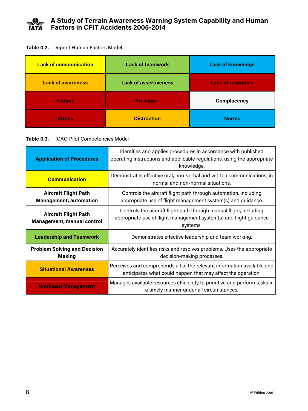

|  | Table 0.2. Dupont Human Factors Model |  |
|--|---------------------------------------|--|
|--|---------------------------------------|--|

| <b>Lack of communication</b> | <b>Lack of teamwork</b>      | <b>Lack of knowledge</b> |
|------------------------------|------------------------------|--------------------------|
| <b>Lack of awareness</b>     | <b>Lack of assertiveness</b> | <b>Lack of resources</b> |
| <b>Fatigue</b>               | <b>Pressure</b>              | Complacency              |
| <b>Stress</b>                | <b>Distraction</b>           | <b>Norms</b>             |

| <b>Application of Procedures</b>                                 | Identifies and applies procedures in accordance with published<br>operating instructions and applicable regulations, using the appropriate<br>knowledge. |
|------------------------------------------------------------------|----------------------------------------------------------------------------------------------------------------------------------------------------------|
| <b>Communication</b>                                             | Demonstrates effective oral, non-verbal and written communications, in<br>normal and non-normal situations.                                              |
| <b>Aircraft Flight Path</b><br><b>Management, automation</b>     | Controls the aircraft flight path through automation, including<br>appropriate use of flight management system(s) and guidance.                          |
| <b>Aircraft Flight Path</b><br><b>Management, manual control</b> | Controls the aircraft flight path through manual flight, including<br>appropriate use of flight management system(s) and flight guidance<br>systems.     |
| <b>Leadership and Teamwork</b>                                   | Demonstrates effective leadership and team working.                                                                                                      |
| <b>Problem Solving and Decision</b><br><b>Making</b>             | Accurately identifies risks and resolves problems. Uses the appropriate<br>decision-making processes.                                                    |
| <b>Situational Awareness</b>                                     | Perceives and comprehends all of the relevant information available and<br>anticipates what could happen that may affect the operation.                  |
| <b>Workload Management</b>                                       | Manages available resources efficiently to prioritize and perform tasks in<br>a timely manner under all circumstances.                                   |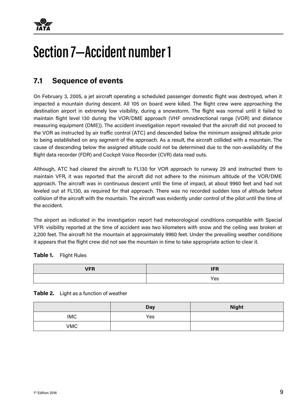

## Section 7—**Accident number 1**

## <span id="page-20-0"></span>**7.1 Sequence of events**

On February 3, 2005, a jet aircraft operating a scheduled passenger domestic flight was destroyed, when it impacted a mountain during descent. All 105 on board were killed. The flight crew were approaching the destination airport in extremely low visibility, during a snowstorm. The flight was normal until it failed to maintain flight level 130 during the VOR/DME approach (VHF omnidirectional range (VOR) and distance measuring equipment (DME)). The accident investigation report revealed that the aircraft did not proceed to the VOR as instructed by air traffic control (ATC) and descended below the minimum assigned altitude prior to being established on any segment of the approach. As a result, the aircraft collided with a mountain. The cause of descending below the assigned altitude could not be determined due to the non-availability of the flight data recorder (FDR) and Cockpit Voice Recorder (CVR) data read outs.

Although, ATC had cleared the aircraft to FL130 for VOR approach to runway 29 and instructed them to maintain VFR, it was reported that the aircraft did not adhere to the minimum altitude of the VOR/DME approach. The aircraft was in continuous descent until the time of impact, at about 9960 feet and had not leveled out at FL130, as required for that approach. There was no recorded sudden loss of altitude before collision of the aircraft with the mountain. The aircraft was evidently under control of the pilot until the time of the accident.

The airport as indicated in the investigation report had meteorological conditions compatible with Special VFR: visibility reported at the time of accident was two kilometers with snow and the ceiling was broken at 2,200 feet. The aircraft hit the mountain at approximately 9960 feet. Under the prevailing weather conditions it appears that the flight crew did not see the mountain in time to take appropriate action to clear it.

#### **Table 1.** Flight Rules

| $I\Gamma$ | $-$ |
|-----------|-----|
| Vrn       | IEN |
|           | Yes |

#### **Table 2.** Light as a function of weather

|            | <b>Day</b> | <b>Night</b> |
|------------|------------|--------------|
| <b>IMC</b> | Yes        |              |
| <b>VMC</b> |            |              |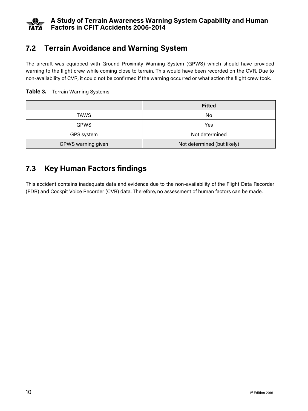## <span id="page-21-0"></span>**7.2 Terrain Avoidance and Warning System**

The aircraft was equipped with Ground Proximity Warning System (GPWS) which should have provided warning to the flight crew while coming close to terrain. This would have been recorded on the CVR. Due to non-availability of CVR, it could not be confirmed if the warning occurred or what action the flight crew took.

#### **Table 3.** Terrain Warning Systems

|                    | <b>Fitted</b>               |
|--------------------|-----------------------------|
| <b>TAWS</b>        | No                          |
| <b>GPWS</b>        | Yes                         |
| GPS system         | Not determined              |
| GPWS warning given | Not determined (but likely) |

## <span id="page-21-1"></span>**7.3 Key Human Factors findings**

This accident contains inadequate data and evidence due to the non-availability of the Flight Data Recorder (FDR) and Cockpit Voice Recorder (CVR) data. Therefore, no assessment of human factors can be made.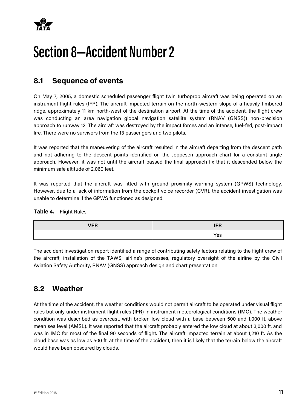

## Section 8—**Accident Number 2**

### <span id="page-22-0"></span>**8.1 Sequence of events**

On May 7, 2005, a domestic scheduled passenger flight twin turboprop aircraft was being operated on an instrument flight rules (IFR). The aircraft impacted terrain on the north-western slope of a heavily timbered ridge, approximately 11 km north-west of the destination airport. At the time of the accident, the flight crew was conducting an area navigation global navigation satellite system (RNAV (GNSS)) non-precision approach to runway 12. The aircraft was destroyed by the impact forces and an intense, fuel-fed, post-impact fire. There were no survivors from the 13 passengers and two pilots.

It was reported that the maneuvering of the aircraft resulted in the aircraft departing from the descent path and not adhering to the descent points identified on the Jeppesen approach chart for a constant angle approach. However, it was not until the aircraft passed the final approach fix that it descended below the minimum safe altitude of 2,060 feet.

It was reported that the aircraft was fitted with ground proximity warning system (GPWS) technology. However, due to a lack of information from the cockpit voice recorder (CVR), the accident investigation was unable to determine if the GPWS functioned as designed.

#### **Table 4.** Flight Rules

| <b>VFR</b> | <b>IFR</b> |
|------------|------------|
|            | Yes        |

The accident investigation report identified a range of contributing safety factors relating to the flight crew of the aircraft, installation of the TAWS; airline's processes, regulatory oversight of the airline by the Civil Aviation Safety Authority, RNAV (GNSS) approach design and chart presentation.

### <span id="page-22-1"></span>**8.2 Weather**

At the time of the accident, the weather conditions would not permit aircraft to be operated under visual flight rules but only under instrument flight rules (IFR) in instrument meteorological conditions (IMC). The weather condition was described as overcast, with broken low cloud with a base between 500 and 1,000 ft. above mean sea level (AMSL). It was reported that the aircraft probably entered the low cloud at about 3,000 ft. and was in IMC for most of the final 90 seconds of flight. The aircraft impacted terrain at about 1,210 ft. As the cloud base was as low as 500 ft. at the time of the accident, then it is likely that the terrain below the aircraft would have been obscured by clouds.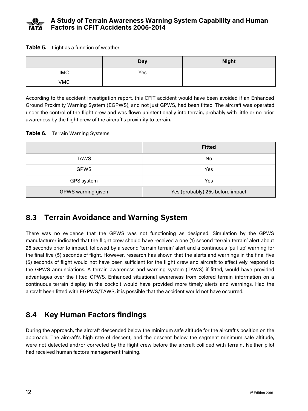

| Table 5. Light as a function of weather |            |              |
|-----------------------------------------|------------|--------------|
|                                         | <b>Day</b> | <b>Night</b> |
| IMC                                     | Yes        |              |
| <b>VMC</b>                              |            |              |

According to the accident investigation report, this CFIT accident would have been avoided if an Enhanced Ground Proximity Warning System (EGPWS), and not just GPWS, had been fitted. The aircraft was operated under the control of the flight crew and was flown unintentionally into terrain, probably with little or no prior awareness by the flight crew of the aircraft's proximity to terrain.

#### **Table 6.** Terrain Warning Systems

|                    | <b>Fitted</b>                    |
|--------------------|----------------------------------|
| <b>TAWS</b>        | No                               |
| <b>GPWS</b>        | Yes                              |
| GPS system         | Yes                              |
| GPWS warning given | Yes (probably) 25s before impact |

### <span id="page-23-0"></span>**8.3 Terrain Avoidance and Warning System**

There was no evidence that the GPWS was not functioning as designed. Simulation by the GPWS manufacturer indicated that the flight crew should have received a one (1) second 'terrain terrain' alert about 25 seconds prior to impact, followed by a second 'terrain terrain' alert and a continuous 'pull up' warning for the final five (5) seconds of flight. However, research has shown that the alerts and warnings in the final five (5) seconds of flight would not have been sufficient for the flight crew and aircraft to effectively respond to the GPWS annunciations. A terrain awareness and warning system (TAWS) if fitted, would have provided advantages over the fitted GPWS. Enhanced situational awareness from colored terrain information on a continuous terrain display in the cockpit would have provided more timely alerts and warnings. Had the aircraft been fitted with EGPWS/TAWS, it is possible that the accident would not have occurred.

### <span id="page-23-1"></span>**8.4 Key Human Factors findings**

During the approach, the aircraft descended below the minimum safe altitude for the aircraft's position on the approach. The aircraft's high rate of descent, and the descent below the segment minimum safe altitude, were not detected and/or corrected by the flight crew before the aircraft collided with terrain. Neither pilot had received human factors management training.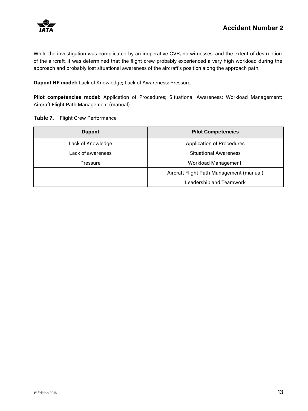While the investigation was complicated by an inoperative CVR, no witnesses, and the extent of destruction of the aircraft, it was determined that the flight crew probably experienced a very high workload during the approach and probably lost situational awareness of the aircraft's position along the approach path.

**Dupont HF model:** Lack of Knowledge; Lack of Awareness; Pressure;

Pilot competencies model: Application of Procedures; Situational Awareness; Workload Management; Aircraft Flight Path Management (manual)

| Table 7.<br><b>Flight Crew Performance</b> |
|--------------------------------------------|
|--------------------------------------------|

| <b>Dupont</b>     | <b>Pilot Competencies</b>                |
|-------------------|------------------------------------------|
| Lack of Knowledge | <b>Application of Procedures</b>         |
| Lack of awareness | <b>Situational Awareness</b>             |
| Pressure          | Workload Management;                     |
|                   | Aircraft Flight Path Management (manual) |
|                   | Leadership and Teamwork                  |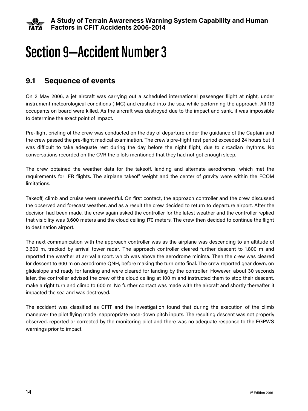

## <span id="page-25-0"></span>Section 9—**Accident Number 3**

## <span id="page-25-1"></span>**9.1 Sequence of events**

On 2 May 2006, a jet aircraft was carrying out a scheduled international passenger flight at night, under instrument meteorological conditions (IMC) and crashed into the sea, while performing the approach. All 113 occupants on board were killed. As the aircraft was destroyed due to the impact and sank, it was impossible to determine the exact point of impact.

Pre-flight briefing of the crew was conducted on the day of departure under the guidance of the Captain and the crew passed the pre-flight medical examination. The crew's pre-flight rest period exceeded 24 hours but it was difficult to take adequate rest during the day before the night flight, due to circadian rhythms. No conversations recorded on the CVR the pilots mentioned that they had not got enough sleep.

The crew obtained the weather data for the takeoff, landing and alternate aerodromes, which met the requirements for IFR flights. The airplane takeoff weight and the center of gravity were within the FCOM limitations.

Takeoff, climb and cruise were uneventful. On first contact, the approach controller and the crew discussed the observed and forecast weather, and as a result the crew decided to return to departure airport. After the decision had been made, the crew again asked the controller for the latest weather and the controller replied that visibility was 3,600 meters and the cloud ceiling 170 meters. The crew then decided to continue the flight to destination airport.

The next communication with the approach controller was as the airplane was descending to an altitude of 3,600 m, tracked by arrival tower radar. The approach controller cleared further descent to 1,800 m and reported the weather at arrival airport, which was above the aerodrome minima. Then the crew was cleared for descent to 600 m on aerodrome QNH, before making the turn onto final. The crew reported gear down, on glideslope and ready for landing and were cleared for landing by the controller. However, about 30 seconds later, the controller advised the crew of the cloud ceiling at 100 m and instructed them to stop their descent, make a right turn and climb to 600 m. No further contact was made with the aircraft and shortly thereafter it impacted the sea and was destroyed.

The accident was classified as CFIT and the investigation found that during the execution of the climb maneuver the pilot flying made inappropriate nose-down pitch inputs. The resulting descent was not properly observed, reported or corrected by the monitoring pilot and there was no adequate response to the EGPWS warnings prior to impact.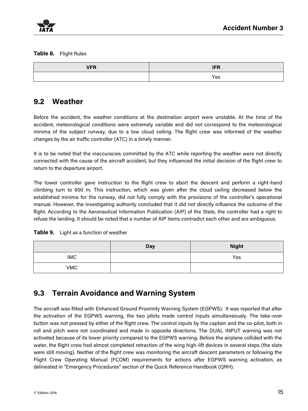

#### **Table 8.** Flight Rules

| <b>VFR</b> | <b>IFR</b> |
|------------|------------|
|            | Yes        |

### <span id="page-26-0"></span>**9.2 Weather**

Before the accident, the weather conditions at the destination airport were unstable. At the time of the accident, meteorological conditions were extremely variable and did not correspond to the meteorological minima of the subject runway, due to a low cloud ceiling. The flight crew was informed of the weather changes by the air traffic controller (ATC) in a timely manner.

It is to be noted that the inaccuracies committed by the ATC while reporting the weather were not directly connected with the cause of the aircraft accident, but they influenced the initial decision of the flight crew to return to the departure airport.

The tower controller gave instruction to the flight crew to abort the descent and perform a right-hand climbing turn to 600 m. This instruction, which was given after the cloud ceiling decreased below the established minima for the runway, did not fully comply with the provisions of the controller's operational manual. However, the investigating authority concluded that it did not directly influence the outcome of the flight. According to the Aeronautical Information Publication (AIP) of the State, the controller had a right to refuse the landing. It should be noted that a number of AIP items contradict each other and are ambiguous.

|            | <b>Day</b> | <b>Night</b> |
|------------|------------|--------------|
| <b>IMC</b> |            | Yes          |
| <b>VMC</b> |            |              |

### <span id="page-26-1"></span>**9.3 Terrain Avoidance and Warning System**

The aircraft was fitted with Enhanced Ground Proximity Warning System (EGPWS). It was reported that after the activation of the EGPWS warning, the two pilots made control inputs simultaneously. The take-over button was not pressed by either of the flight crew. The control inputs by the captain and the co-pilot, both in roll and pitch were not coordinated and made in opposite directions. The DUAL INPUT warning was not activated because of its lower priority compared to the EGPWS warning. Before the airplane collided with the water, the flight crew had almost completed retraction of the wing high-lift devices in several steps (the slats were still moving). Neither of the flight crew was monitoring the aircraft descent parameters or following the Flight Crew Operating Manual (FCOM) requirements for actions after EGPWS warning activation, as delineated in "Emergency Procedures" section of the Quick Reference Handbook (QRH).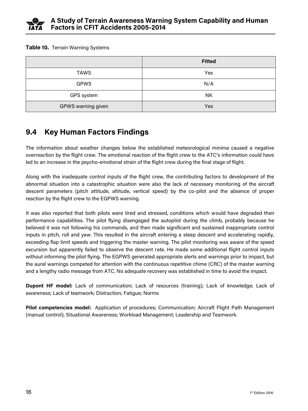

#### **Table 10.** Terrain Warning Systems

|                    | <b>Fitted</b> |
|--------------------|---------------|
| <b>TAWS</b>        | Yes           |
| <b>GPWS</b>        | N/A           |
| GPS system         | NK            |
| GPWS warning given | Yes           |

### <span id="page-27-0"></span>**9.4 Key Human Factors Findings**

The information about weather changes below the established meteorological minima caused a negative overreaction by the flight crew. The emotional reaction of the flight crew to the ATC's information could have led to an increase in the psycho-emotional strain of the flight crew during the final stage of flight.

Along with the inadequate control inputs of the flight crew, the contributing factors to development of the abnormal situation into a catastrophic situation were also the lack of necessary monitoring of the aircraft descent parameters (pitch attitude, altitude, vertical speed) by the co-pilot and the absence of proper reaction by the flight crew to the EGPWS warning.

It was also reported that both pilots were tired and stressed, conditions which would have degraded their performance capabilities. The pilot flying disengaged the autopilot during the climb, probably because he believed it was not following his commands, and then made significant and sustained inappropriate control inputs in pitch, roll and yaw. This resulted in the aircraft entering a steep descent and accelerating rapidly, exceeding flap limit speeds and triggering the master warning. The pilot monitoring was aware of the speed excursion but apparently failed to observe the descent rate. He made some additional flight control inputs without informing the pilot flying. The EGPWS generated appropriate alerts and warnings prior to impact, but the aural warnings competed for attention with the continuous repetitive chime (CRC) of the master warning and a lengthy radio message from ATC. No adequate recovery was established in time to avoid the impact.

**Dupont HF model:** Lack of communication; Lack of resources (training); Lack of knowledge; Lack of awareness; Lack of teamwork; Distraction; Fatigue; Norms

**Pilot competencies model:** Application of procedures; Communication; Aircraft Flight Path Management (manual control); Situational Awareness; Workload Management; Leadership and Teamwork.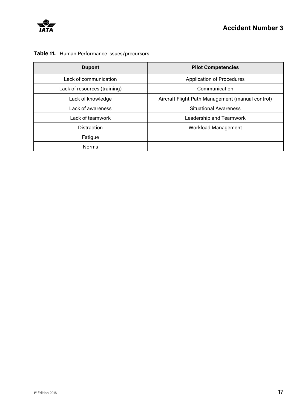

#### **Table 11.** Human Performance issues/precursors

| <b>Dupont</b>                | <b>Pilot Competencies</b>                        |
|------------------------------|--------------------------------------------------|
| Lack of communication        | <b>Application of Procedures</b>                 |
| Lack of resources (training) | Communication                                    |
| Lack of knowledge            | Aircraft Flight Path Management (manual control) |
| Lack of awareness            | <b>Situational Awareness</b>                     |
| Lack of teamwork             | Leadership and Teamwork                          |
| <b>Distraction</b>           | <b>Workload Management</b>                       |
| Fatigue                      |                                                  |
| <b>Norms</b>                 |                                                  |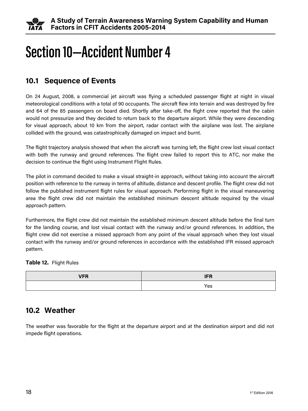

## <span id="page-29-0"></span>Section 10—**Accident Number 4**

## <span id="page-29-1"></span>**10.1 Sequence of Events**

On 24 August, 2008, a commercial jet aircraft was flying a scheduled passenger flight at night in visual meteorological conditions with a total of 90 occupants. The aircraft flew into terrain and was destroyed by fire and 64 of the 85 passengers on board died. Shortly after take-off, the flight crew reported that the cabin would not pressurize and they decided to return back to the departure airport. While they were descending for visual approach, about 10 km from the airport, radar contact with the airplane was lost. The airplane collided with the ground, was catastrophically damaged on impact and burnt.

The flight trajectory analysis showed that when the aircraft was turning left, the flight crew lost visual contact with both the runway and ground references. The flight crew failed to report this to ATC, nor make the decision to continue the flight using Instrument Flight Rules.

The pilot in command decided to make a visual straight-in approach, without taking into account the aircraft position with reference to the runway in terms of altitude, distance and descent profile. The flight crew did not follow the published instrument flight rules for visual approach. Performing flight in the visual maneuvering area the flight crew did not maintain the established minimum descent altitude required by the visual approach pattern.

Furthermore, the flight crew did not maintain the established minimum descent altitude before the final turn for the landing course, and lost visual contact with the runway and/or ground references. In addition, the flight crew did not exercise a missed approach from any point of the visual approach when they lost visual contact with the runway and/or ground references in accordance with the established IFR missed approach pattern.

#### **Table 12.** Flight Rules

| <b>VFR</b> | <b>IFR</b> |
|------------|------------|
|            | Yes        |

### <span id="page-29-2"></span>**10.2 Weather**

The weather was favorable for the flight at the departure airport and at the destination airport and did not impede flight operations.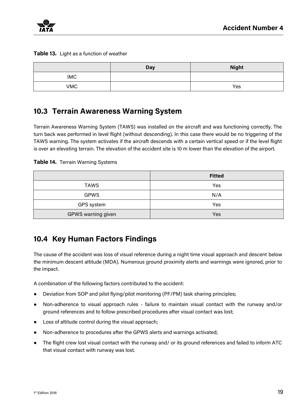

#### **Table 13.** Light as a function of weather

|            | <b>Day</b> | <b>Night</b> |
|------------|------------|--------------|
| <b>IMC</b> |            |              |
| <b>VMC</b> |            | Yes          |

### <span id="page-30-0"></span>**10.3 Terrain Awareness Warning System**

Terrain Awareness Warning System (TAWS) was installed on the aircraft and was functioning correctly. The turn back was performed in level flight (without descending). In this case there would be no triggering of the TAWS warning. The system activates if the aircraft descends with a certain vertical speed or if the level flight is over an elevating terrain. The elevation of the accident site is 10 m lower than the elevation of the airport.

#### **Table 14.** Terrain Warning Systems

|                    | <b>Fitted</b> |
|--------------------|---------------|
| <b>TAWS</b>        | Yes           |
| <b>GPWS</b>        | N/A           |
| GPS system         | Yes           |
| GPWS warning given | Yes           |

### <span id="page-30-1"></span>**10.4 Key Human Factors Findings**

The cause of the accident was loss of visual reference during a night time visual approach and descent below the minimum descent altitude (MDA). Numerous ground proximity alerts and warnings were ignored, prior to the impact.

A combination of the following factors contributed to the accident:

- Deviation from SOP and pilot flying/pilot monitoring (PF/PM) task sharing principles;
- Non-adherence to visual approach rules failure to maintain visual contact with the runway and/or ground references and to follow prescribed procedures after visual contact was lost;
- Loss of altitude control during the visual approach;
- Non-adherence to procedures after the GPWS alerts and warnings activated;
- The flight crew lost visual contact with the runway and/ or its ground references and failed to inform ATC that visual contact with runway was lost.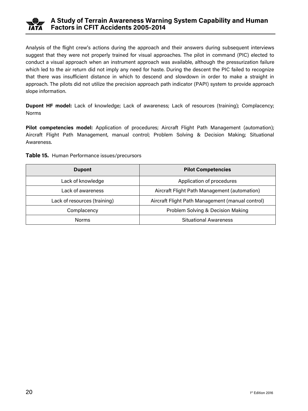

#### **A Study of Terrain Awareness Warning System Capability and Human Factors in CFIT Accidents 2005-2014**

Analysis of the flight crew's actions during the approach and their answers during subsequent interviews suggest that they were not properly trained for visual approaches. The pilot in command (PIC) elected to conduct a visual approach when an instrument approach was available, although the pressurization failure which led to the air return did not imply any need for haste. During the descent the PIC failed to recognize that there was insufficient distance in which to descend and slowdown in order to make a straight in approach. The pilots did not utilize the precision approach path indicator (PAPI) system to provide approach slope information.

**Dupont HF model:** Lack of knowledge; Lack of awareness; Lack of resources (training); Complacency; Norms

**Pilot competencies model:** Application of procedures; Aircraft Flight Path Management (automation); Aircraft Flight Path Management, manual control; Problem Solving & Decision Making; Situational Awareness.

|  |  |  |  | Table 15. Human Performance issues/precursors |  |  |
|--|--|--|--|-----------------------------------------------|--|--|
|--|--|--|--|-----------------------------------------------|--|--|

| <b>Dupont</b>                | <b>Pilot Competencies</b>                        |
|------------------------------|--------------------------------------------------|
| Lack of knowledge            | Application of procedures                        |
| Lack of awareness            | Aircraft Flight Path Management (automation)     |
| Lack of resources (training) | Aircraft Flight Path Management (manual control) |
| Complacency                  | Problem Solving & Decision Making                |
| Norms                        | <b>Situational Awareness</b>                     |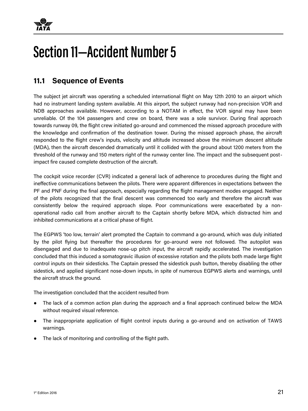

## Section 11—**Accident Number 5**

### <span id="page-32-0"></span>**11.1 Sequence of Events**

The subject jet aircraft was operating a scheduled international flight on May 12th 2010 to an airport which had no instrument landing system available. At this airport, the subject runway had non-precision VOR and NDB approaches available. However, according to a NOTAM in effect, the VOR signal may have been unreliable. Of the 104 passengers and crew on board, there was a sole survivor. During final approach towards runway 09, the flight crew initiated go-around and commenced the missed approach procedure with the knowledge and confirmation of the destination tower. During the missed approach phase, the aircraft responded to the flight crew's inputs, velocity and altitude increased above the minimum descent altitude (MDA), then the aircraft descended dramatically until it collided with the ground about 1200 meters from the threshold of the runway and 150 meters right of the runway center line. The impact and the subsequent postimpact fire caused complete destruction of the aircraft.

The cockpit voice recorder (CVR) indicated a general lack of adherence to procedures during the flight and ineffective communications between the pilots. There were apparent differences in expectations between the PF and PNF during the final approach, especially regarding the flight management modes engaged. Neither of the pilots recognized that the final descent was commenced too early and therefore the aircraft was consistently below the required approach slope. Poor communications were exacerbated by a nonoperational radio call from another aircraft to the Captain shortly before MDA, which distracted him and inhibited communications at a critical phase of flight.

The EGPWS 'too low, terrain' alert prompted the Captain to command a go-around, which was duly initiated by the pilot flying but thereafter the procedures for go-around were not followed. The autopilot was disengaged and due to inadequate nose-up pitch input, the aircraft rapidly accelerated. The investigation concluded that this induced a somatogravic illusion of excessive rotation and the pilots both made large flight control inputs on their sidesticks. The Captain pressed the sidestick push button, thereby disabling the other sidestick, and applied significant nose-down inputs, in spite of numerous EGPWS alerts and warnings, until the aircraft struck the ground.

The investigation concluded that the accident resulted from

- The lack of a common action plan during the approach and a final approach continued below the MDA without required visual reference.
- The inappropriate application of flight control inputs during a go-around and on activation of TAWS warnings.
- The lack of monitoring and controlling of the flight path.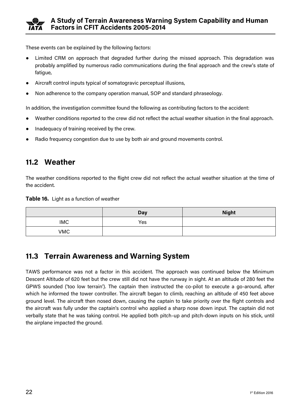

These events can be explained by the following factors:

- Limited CRM on approach that degraded further during the missed approach. This degradation was probably amplified by numerous radio communications during the final approach and the crew's state of fatigue,
- Aircraft control inputs typical of somatogravic perceptual illusions,
- Non adherence to the company operation manual, SOP and standard phraseology.

In addition, the investigation committee found the following as contributing factors to the accident:

- Weather conditions reported to the crew did not reflect the actual weather situation in the final approach.
- Inadequacy of training received by the crew.
- <span id="page-33-0"></span>● Radio frequency congestion due to use by both air and ground movements control.

### **11.2 Weather**

The weather conditions reported to the flight crew did not reflect the actual weather situation at the time of the accident.

**Table 16.** Light as a function of weather

|            | <b>Day</b> | <b>Night</b> |
|------------|------------|--------------|
| <b>IMC</b> | Yes        |              |
| <b>VMC</b> |            |              |

### <span id="page-33-1"></span>**11.3 Terrain Awareness and Warning System**

TAWS performance was not a factor in this accident. The approach was continued below the Minimum Descent Altitude of 620 feet but the crew still did not have the runway in sight. At an altitude of 280 feet the GPWS sounded ('too low terrain'). The captain then instructed the co-pilot to execute a go-around, after which he informed the tower controller. The aircraft began to climb, reaching an altitude of 450 feet above ground level. The aircraft then nosed down, causing the captain to take priority over the flight controls and the aircraft was fully under the captain's control who applied a sharp nose down input. The captain did not verbally state that he was taking control. He applied both pitch-up and pitch-down inputs on his stick, until the airplane impacted the ground.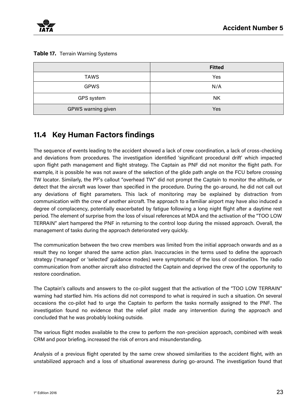



#### **Table 17.** Terrain Warning Systems

|                    | <b>Fitted</b> |
|--------------------|---------------|
| <b>TAWS</b>        | Yes           |
| <b>GPWS</b>        | N/A           |
| GPS system         | <b>NK</b>     |
| GPWS warning given | Yes           |

### <span id="page-34-0"></span>**11.4 Key Human Factors findings**

The sequence of events leading to the accident showed a lack of crew coordination, a lack of cross-checking and deviations from procedures. The investigation identified 'significant procedural drift' which impacted upon flight path management and flight strategy. The Captain as PNF did not monitor the flight path. For example, it is possible he was not aware of the selection of the glide path angle on the FCU before crossing TW locator. Similarly, the PF's callout "overhead TW" did not prompt the Captain to monitor the altitude, or detect that the aircraft was lower than specified in the procedure. During the go-around, he did not call out any deviations of flight parameters. This lack of monitoring may be explained by distraction from communication with the crew of another aircraft. The approach to a familiar airport may have also induced a degree of complacency, potentially exacerbated by fatigue following a long night flight after a daytime rest period. The element of surprise from the loss of visual references at MDA and the activation of the "TOO LOW TERRAIN" alert hampered the PNF in returning to the control loop during the missed approach. Overall, the management of tasks during the approach deteriorated very quickly.

The communication between the two crew members was limited from the initial approach onwards and as a result they no longer shared the same action plan. Inaccuracies in the terms used to define the approach strategy ('managed' or 'selected' guidance modes) were symptomatic of the loss of coordination. The radio communication from another aircraft also distracted the Captain and deprived the crew of the opportunity to restore coordination.

The Captain's callouts and answers to the co-pilot suggest that the activation of the "TOO LOW TERRAIN" warning had startled him. His actions did not correspond to what is required in such a situation. On several occasions the co-pilot had to urge the Captain to perform the tasks normally assigned to the PNF. The investigation found no evidence that the relief pilot made any intervention during the approach and concluded that he was probably looking outside.

The various flight modes available to the crew to perform the non-precision approach, combined with weak CRM and poor briefing, increased the risk of errors and misunderstanding.

Analysis of a previous flight operated by the same crew showed similarities to the accident flight, with an unstabilized approach and a loss of situational awareness during go-around. The investigation found that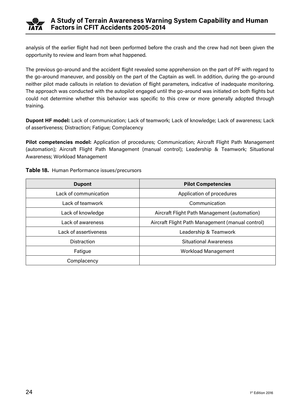analysis of the earlier flight had not been performed before the crash and the crew had not been given the opportunity to review and learn from what happened.

The previous go-around and the accident flight revealed some apprehension on the part of PF with regard to the go-around maneuver, and possibly on the part of the Captain as well. In addition, during the go-around neither pilot made callouts in relation to deviation of flight parameters, indicative of inadequate monitoring. The approach was conducted with the autopilot engaged until the go-around was initiated on both flights but could not determine whether this behavior was specific to this crew or more generally adopted through training.

**Dupont HF model:** Lack of communication; Lack of teamwork; Lack of knowledge; Lack of awareness; Lack of assertiveness; Distraction; Fatigue; Complacency

**Pilot competencies model:** Application of procedures; Communication; Aircraft Flight Path Management (automation); Aircraft Flight Path Management (manual control); Leadership & Teamwork; Situational Awareness; Workload Management

|  |  | Table 18. Human Performance issues/precursors |  |  |
|--|--|-----------------------------------------------|--|--|
|--|--|-----------------------------------------------|--|--|

| <b>Dupont</b>         | <b>Pilot Competencies</b>                        |
|-----------------------|--------------------------------------------------|
| Lack of communication | Application of procedures                        |
| Lack of teamwork      | Communication                                    |
| Lack of knowledge     | Aircraft Flight Path Management (automation)     |
| Lack of awareness     | Aircraft Flight Path Management (manual control) |
| Lack of assertiveness | Leadership & Teamwork                            |
| <b>Distraction</b>    | <b>Situational Awareness</b>                     |
| Fatigue               | <b>Workload Management</b>                       |
| Complacency           |                                                  |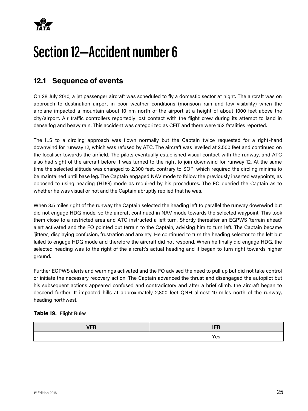

# Section 12—**Accident number 6**

## **12.1 Sequence of events**

On 28 July 2010, a jet passenger aircraft was scheduled to fly a domestic sector at night. The aircraft was on approach to destination airport in poor weather conditions (monsoon rain and low visibility) when the airplane impacted a mountain about 10 nm north of the airport at a height of about 1000 feet above the city/airport. Air traffic controllers reportedly lost contact with the flight crew during its attempt to land in dense fog and heavy rain. This accident was categorized as CFIT and there were 152 fatalities reported.

The ILS to a circling approach was flown normally but the Captain twice requested for a right-hand downwind for runway 12, which was refused by ATC. The aircraft was levelled at 2,500 feet and continued on the localiser towards the airfield. The pilots eventually established visual contact with the runway, and ATC also had sight of the aircraft before it was turned to the right to join downwind for runway 12. At the same time the selected altitude was changed to 2,300 feet, contrary to SOP, which required the circling minima to be maintained until base leg. The Captain engaged NAV mode to follow the previously inserted waypoints, as opposed to using heading (HDG) mode as required by his procedures. The FO queried the Captain as to whether he was visual or not and the Captain abruptly replied that he was.

When 3.5 miles right of the runway the Captain selected the heading left to parallel the runway downwind but did not engage HDG mode, so the aircraft continued in NAV mode towards the selected waypoint. This took them close to a restricted area and ATC instructed a left turn. Shortly thereafter an EGPWS 'terrain ahead' alert activated and the FO pointed out terrain to the Captain, advising him to turn left. The Captain became 'jittery', displaying confusion, frustration and anxiety. He continued to turn the heading selector to the left but failed to engage HDG mode and therefore the aircraft did not respond. When he finally did engage HDG, the selected heading was to the right of the aircraft's actual heading and it began to turn right towards higher ground.

Further EGPWS alerts and warnings activated and the FO advised the need to pull up but did not take control or initiate the necessary recovery action. The Captain advanced the thrust and disengaged the autopilot but his subsequent actions appeared confused and contradictory and after a brief climb, the aircraft began to descend further. It impacted hills at approximately 2,800 feet QNH almost 10 miles north of the runway, heading northwest.

#### **Table 19.** Flight Rules

| <b>VED</b><br><b>VFM</b> | <b>IFR</b> |
|--------------------------|------------|
|                          | Yes        |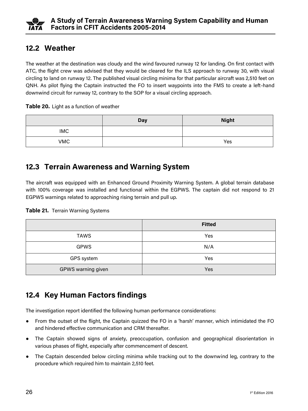## **12.2 Weather**

The weather at the destination was cloudy and the wind favoured runway 12 for landing. On first contact with ATC, the flight crew was advised that they would be cleared for the ILS approach to runway 30, with visual circling to land on runway 12. The published visual circling minima for that particular aircraft was 2,510 feet on QNH. As pilot flying the Captain instructed the FO to insert waypoints into the FMS to create a left-hand downwind circuit for runway 12, contrary to the SOP for a visual circling approach.

**Table 20.** Light as a function of weather

|            | <b>Day</b> | <b>Night</b> |
|------------|------------|--------------|
| <b>IMC</b> |            |              |
| <b>VMC</b> |            | Yes          |

## **12.3 Terrain Awareness and Warning System**

The aircraft was equipped with an Enhanced Ground Proximity Warning System. A global terrain database with 100% coverage was installed and functional within the EGPWS. The captain did not respond to 21 EGPWS warnings related to approaching rising terrain and pull up.

|  | Table 21. Terrain Warning Systems |
|--|-----------------------------------|
|--|-----------------------------------|

|                    | <b>Fitted</b> |
|--------------------|---------------|
| <b>TAWS</b>        | Yes           |
| <b>GPWS</b>        | N/A           |
| GPS system         | Yes           |
| GPWS warning given | Yes           |

# **12.4 Key Human Factors findings**

The investigation report identified the following human performance considerations:

- From the outset of the flight, the Captain quizzed the FO in a 'harsh' manner, which intimidated the FO and hindered effective communication and CRM thereafter.
- The Captain showed signs of anxiety, preoccupation, confusion and geographical disorientation in various phases of flight, especially after commencement of descent.
- The Captain descended below circling minima while tracking out to the downwind leg, contrary to the procedure which required him to maintain 2,510 feet.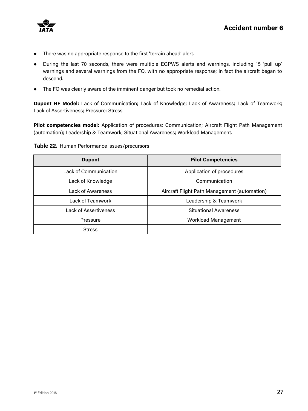

- There was no appropriate response to the first 'terrain ahead' alert.
- During the last 70 seconds, there were multiple EGPWS alerts and warnings, including 15 'pull up' warnings and several warnings from the FO, with no appropriate response; in fact the aircraft began to descend.
- The FO was clearly aware of the imminent danger but took no remedial action.

**Dupont HF Model:** Lack of Communication; Lack of Knowledge; Lack of Awareness; Lack of Teamwork; Lack of Assertiveness; Pressure; Stress.

**Pilot competencies model:** Application of procedures; Communication; Aircraft Flight Path Management (automation); Leadership & Teamwork; Situational Awareness; Workload Management.

**Table 22.** Human Performance issues/precursors

| <b>Dupont</b>                | <b>Pilot Competencies</b>                    |
|------------------------------|----------------------------------------------|
| Lack of Communication        | Application of procedures                    |
| Lack of Knowledge            | Communication                                |
| Lack of Awareness            | Aircraft Flight Path Management (automation) |
| Lack of Teamwork             | Leadership & Teamwork                        |
| <b>Lack of Assertiveness</b> | <b>Situational Awareness</b>                 |
| Pressure                     | <b>Workload Management</b>                   |
| <b>Stress</b>                |                                              |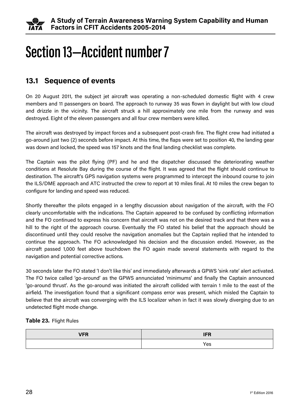

# Section 13—**Accident number 7**

# **13.1 Sequence of events**

On 20 August 2011, the subject jet aircraft was operating a non-scheduled domestic flight with 4 crew members and 11 passengers on board. The approach to runway 35 was flown in daylight but with low cloud and drizzle in the vicinity. The aircraft struck a hill approximately one mile from the runway and was destroyed. Eight of the eleven passengers and all four crew members were killed.

The aircraft was destroyed by impact forces and a subsequent post-crash fire. The flight crew had initiated a go-around just two (2) seconds before impact. At this time, the flaps were set to position 40, the landing gear was down and locked, the speed was 157 knots and the final landing checklist was complete.

The Captain was the pilot flying (PF) and he and the dispatcher discussed the deteriorating weather conditions at Resolute Bay during the course of the flight. It was agreed that the flight should continue to destination. The aircraft's GPS navigation systems were programmed to intercept the inbound course to join the ILS/DME approach and ATC instructed the crew to report at 10 miles final. At 10 miles the crew began to configure for landing and speed was reduced.

Shortly thereafter the pilots engaged in a lengthy discussion about navigation of the aircraft, with the FO clearly uncomfortable with the indications. The Captain appeared to be confused by conflicting information and the FO continued to express his concern that aircraft was not on the desired track and that there was a hill to the right of the approach course. Eventually the FO stated his belief that the approach should be discontinued until they could resolve the navigation anomalies but the Captain replied that he intended to continue the approach. The FO acknowledged his decision and the discussion ended. However, as the aircraft passed 1,000 feet above touchdown the FO again made several statements with regard to the navigation and potential corrective actions.

30 seconds later the FO stated 'I don't like this' and immediately afterwards a GPWS 'sink rate' alert activated. The FO twice called 'go-around' as the GPWS annunciated 'minimums' and finally the Captain announced 'go-around thrust'. As the go-around was initiated the aircraft collided with terrain 1 mile to the east of the airfield. The investigation found that a significant compass error was present, which misled the Captain to believe that the aircraft was converging with the ILS localizer when in fact it was slowly diverging due to an undetected flight mode change.

#### **Table 23.** Flight Rules

| <b>VFR</b> | <b>IFR</b> |
|------------|------------|
|            | Yes        |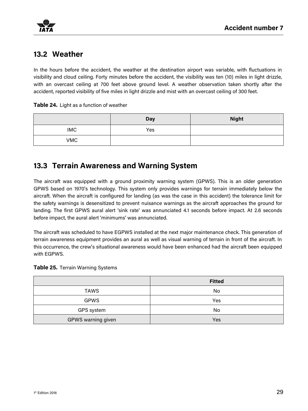



## **13.2 Weather**

In the hours before the accident, the weather at the destination airport was variable, with fluctuations in visibility and cloud ceiling. Forty minutes before the accident, the visibility was ten (10) miles in light drizzle, with an overcast ceiling at 700 feet above ground level. A weather observation taken shortly after the accident, reported visibility of five miles in light drizzle and mist with an overcast ceiling of 300 feet.

| Table 24. Light as a function of weather |  |
|------------------------------------------|--|
|------------------------------------------|--|

|            | <b>Day</b> | <b>Night</b> |
|------------|------------|--------------|
| <b>IMC</b> | Yes        |              |
| <b>VMC</b> |            |              |

## **13.3 Terrain Awareness and Warning System**

The aircraft was equipped with a ground proximity warning system (GPWS). This is an older generation GPWS based on 1970's technology. This system only provides warnings for terrain immediately below the aircraft. When the aircraft is configured for landing (as was the case in this accident) the tolerance limit for the safety warnings is desensitized to prevent nuisance warnings as the aircraft approaches the ground for landing. The first GPWS aural alert 'sink rate' was annunciated 4.1 seconds before impact. At 2.6 seconds before impact, the aural alert 'minimums' was annunciated.

The aircraft was scheduled to have EGPWS installed at the next major maintenance check. This generation of terrain awareness equipment provides an aural as well as visual warning of terrain in front of the aircraft. In this occurrence, the crew's situational awareness would have been enhanced had the aircraft been equipped with EGPWS.

| Table 25. Terrain Warning Systems |  |
|-----------------------------------|--|
|-----------------------------------|--|

|                    | <b>Fitted</b> |
|--------------------|---------------|
| <b>TAWS</b>        | No            |
| <b>GPWS</b>        | Yes           |
| GPS system         | No            |
| GPWS warning given | Yes           |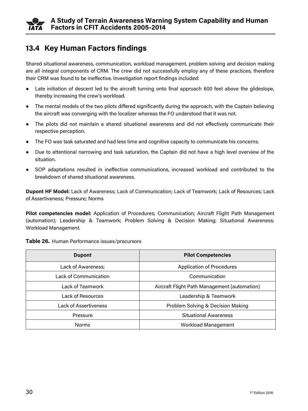# **13.4 Key Human Factors findings**

Shared situational awareness, communication, workload management, problem solving and decision making are all integral components of CRM. The crew did not successfully employ any of these practices, therefore their CRM was found to be ineffective. Investigation report findings included:

- Late initiation of descent led to the aircraft turning onto final approach 600 feet above the glideslope, thereby increasing the crew's workload.
- The mental models of the two pilots differed significantly during the approach, with the Captain believing the aircraft was converging with the localizer whereas the FO understood that it was not.
- The pilots did not maintain a shared situational awareness and did not effectively communicate their respective perception.
- The FO was task saturated and had less time and cognitive capacity to communicate his concerns.
- Due to attentional narrowing and task saturation, the Captain did not have a high level overview of the situation.
- SOP adaptations resulted in ineffective communications, increased workload and contributed to the breakdown of shared situational awareness.

**Dupont HF Model:** Lack of Awareness; Lack of Communication; Lack of Teamwork; Lack of Resources; Lack of Assertiveness; Pressure; Norms

**Pilot competencies model:** Application of Procedures; Communication; Aircraft Flight Path Management (automation); Leadership & Teamwork; Problem Solving & Decision Making; Situational Awareness; Workload Management.

| <b>Dupont</b>                | <b>Pilot Competencies</b>                    |
|------------------------------|----------------------------------------------|
| Lack of Awareness;           | <b>Application of Procedures</b>             |
| Lack of Communication        | Communication                                |
| Lack of Teamwork             | Aircraft Flight Path Management (automation) |
| Lack of Resources            | Leadership & Teamwork                        |
| <b>Lack of Assertiveness</b> | Problem Solving & Decision Making            |
| Pressure                     | <b>Situational Awareness</b>                 |
| <b>Norms</b>                 | <b>Workload Management</b>                   |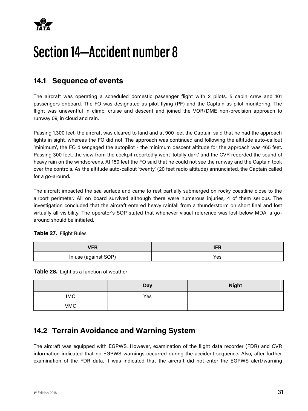

# Section 14—**Accident number 8**

## **14.1 Sequence of events**

The aircraft was operating a scheduled domestic passenger flight with 2 pilots, 5 cabin crew and 101 passengers onboard. The FO was designated as pilot flying (PF) and the Captain as pilot monitoring. The flight was uneventful in climb, cruise and descent and joined the VOR/DME non-precision approach to runway 09, in cloud and rain.

Passing 1,300 feet, the aircraft was cleared to land and at 900 feet the Captain said that he had the approach lights in sight, whereas the FO did not. The approach was continued and following the altitude auto-callout 'minimum', the FO disengaged the autopilot - the minimum descent altitude for the approach was 465 feet. Passing 300 feet, the view from the cockpit reportedly went 'totally dark' and the CVR recorded the sound of heavy rain on the windscreens. At 150 feet the FO said that he could not see the runway and the Captain took over the controls. As the altitude auto-callout 'twenty' (20 feet radio altitude) annunciated, the Captain called for a go-around.

The aircraft impacted the sea surface and came to rest partially submerged on rocky coastline close to the airport perimeter. All on board survived although there were numerous injuries, 4 of them serious. The investigation concluded that the aircraft entered heavy rainfall from a thunderstorm on short final and lost virtually all visibility. The operator's SOP stated that whenever visual reference was lost below MDA, a goaround should be initiated.

| <b>VFR</b>           | <b>IFR</b> |  |
|----------------------|------------|--|
| In use (against SOP) | Yes        |  |

**Table 28.** Light as a function of weather

|            | <b>Day</b> | <b>Night</b> |
|------------|------------|--------------|
| <b>IMC</b> | Yes        |              |
| <b>VMC</b> |            |              |

## **14.2 Terrain Avoidance and Warning System**

The aircraft was equipped with EGPWS. However, examination of the flight data recorder (FDR) and CVR information indicated that no EGPWS warnings occurred during the accident sequence. Also, after further examination of the FDR data, it was indicated that the aircraft did not enter the EGPWS alert/warning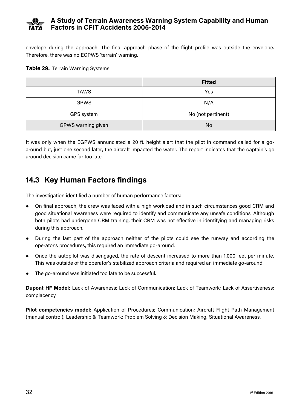envelope during the approach. The final approach phase of the flight profile was outside the envelope. Therefore, there was no EGPWS 'terrain' warning.

#### **Table 29.** Terrain Warning Systems

|                                  | <b>Fitted</b> |  |
|----------------------------------|---------------|--|
| <b>TAWS</b>                      | Yes           |  |
| <b>GPWS</b>                      | N/A           |  |
| No (not pertinent)<br>GPS system |               |  |
| GPWS warning given               | No            |  |

It was only when the EGPWS annunciated a 20 ft. height alert that the pilot in command called for a goaround but, just one second later, the aircraft impacted the water. The report indicates that the captain's go around decision came far too late.

# **14.3 Key Human Factors findings**

The investigation identified a number of human performance factors:

- On final approach, the crew was faced with a high workload and in such circumstances good CRM and good situational awareness were required to identify and communicate any unsafe conditions. Although both pilots had undergone CRM training, their CRM was not effective in identifying and managing risks during this approach.
- During the last part of the approach neither of the pilots could see the runway and according the operator's procedures, this required an immediate go-around.
- Once the autopilot was disengaged, the rate of descent increased to more than 1,000 feet per minute. This was outside of the operator's stabilized approach criteria and required an immediate go-around.
- The go-around was initiated too late to be successful.

**Dupont HF Model:** Lack of Awareness; Lack of Communication; Lack of Teamwork; Lack of Assertiveness; complacency

**Pilot competencies model:** Application of Procedures; Communication; Aircraft Flight Path Management (manual control); Leadership & Teamwork; Problem Solving & Decision Making; Situational Awareness.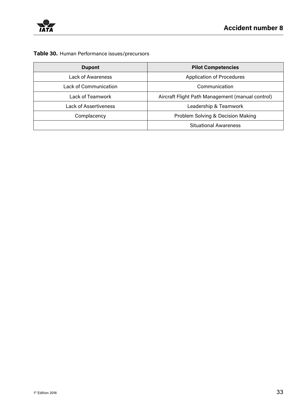

#### **Table 30.** Human Performance issues/precursors

| <b>Dupont</b>            | <b>Pilot Competencies</b>                        |  |
|--------------------------|--------------------------------------------------|--|
| <b>Lack of Awareness</b> | <b>Application of Procedures</b>                 |  |
| Lack of Communication    | Communication                                    |  |
| Lack of Teamwork         | Aircraft Flight Path Management (manual control) |  |
| Lack of Assertiveness    | Leadership & Teamwork                            |  |
| Complacency              | Problem Solving & Decision Making                |  |
|                          | <b>Situational Awareness</b>                     |  |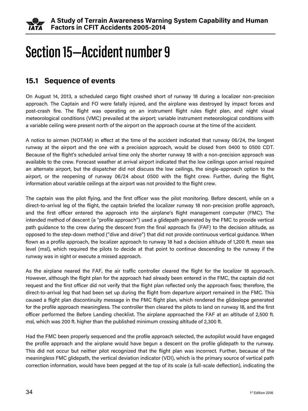

# Section 15—**Accident number 9**

# **15.1 Sequence of events**

On August 14, 2013, a scheduled cargo flight crashed short of runway 18 during a localizer non-precision approach. The Captain and FO were fatally injured, and the airplane was destroyed by impact forces and post-crash fire. The flight was operating on an instrument flight rules flight plan, and night visual meteorological conditions (VMC) prevailed at the airport; variable instrument meteorological conditions with a variable ceiling were present north of the airport on the approach course at the time of the accident.

A notice to airmen (NOTAM) in effect at the time of the accident indicated that runway 06/24, the longest runway at the airport and the one with a precision approach, would be closed from 0400 to 0500 CDT. Because of the flight's scheduled arrival time only the shorter runway 18 with a non-precision approach was available to the crew. Forecast weather at arrival airport indicated that the low ceilings upon arrival required an alternate airport, but the dispatcher did not discuss the low ceilings, the single-approach option to the airport, or the reopening of runway 06/24 about 0500 with the flight crew. Further, during the flight, information about variable ceilings at the airport was not provided to the flight crew.

The captain was the pilot flying, and the first officer was the pilot monitoring. Before descent, while on a direct-to-arrival leg of the flight, the captain briefed the localizer runway 18 non-precision profile approach, and the first officer entered the approach into the airplane's flight management computer (FMC). The intended method of descent (a "profile approach") used a glidepath generated by the FMC to provide vertical path guidance to the crew during the descent from the final approach fix (FAF) to the decision altitude, as opposed to the step-down method ("dive and drive") that did not provide continuous vertical guidance. When flown as a profile approach, the localizer approach to runway 18 had a decision altitude of 1,200 ft. mean sea level (msl), which required the pilots to decide at that point to continue descending to the runway if the runway was in sight or execute a missed approach.

As the airplane neared the FAF, the air traffic controller cleared the flight for the localizer 18 approach. However, although the flight plan for the approach had already been entered in the FMC, the captain did not request and the first officer did not verify that the flight plan reflected only the approach fixes; therefore, the direct-to-arrival leg that had been set up during the flight from departure airport remained in the FMC. This caused a flight plan discontinuity message in the FMC flight plan, which rendered the glideslope generated for the profile approach meaningless. The controller then cleared the pilots to land on runway 18, and the first officer performed the Before Landing checklist. The airplane approached the FAF at an altitude of 2,500 ft. msl, which was 200 ft. higher than the published minimum crossing altitude of 2,300 ft.

Had the FMC been properly sequenced and the profile approach selected, the autopilot would have engaged the profile approach and the airplane would have begun a descent on the profile glidepath to the runway. This did not occur but neither pilot recognized that the flight plan was incorrect. Further, because of the meaningless FMC glidepath, the vertical deviation indicator (VDI), which is the primary source of vertical path correction information, would have been pegged at the top of its scale (a full-scale deflection), indicating the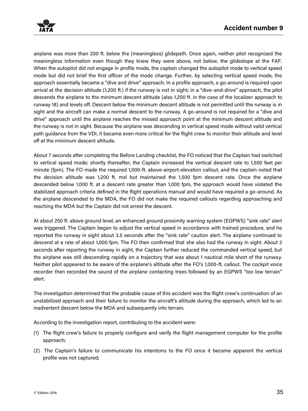

airplane was more than 200 ft. below the (meaningless) glidepath. Once again, neither pilot recognized the meaningless information even though they knew they were above, not below, the glideslope at the FAF. When the autopilot did not engage in profile mode, the captain changed the autopilot mode to vertical speed mode but did not brief the first officer of the mode change. Further, by selecting vertical speed mode, the approach essentially became a "dive and drive" approach. In a profile approach, a go-around is required upon arrival at the decision altitude (1,200 ft.) if the runway is not in sight; in a "dive-and-drive" approach, the pilot descends the airplane to the minimum descent altitude (also 1,200 ft. in the case of the localizer approach to runway 18) and levels off. Descent below the minimum descent altitude is not permitted until the runway is in sight and the aircraft can make a normal descent to the runway. A go-around is not required for a "dive and drive" approach until the airplane reaches the missed approach point at the minimum descent altitude and the runway is not in sight. Because the airplane was descending in vertical speed mode without valid vertical path guidance from the VDI, it became even more critical for the flight crew to monitor their altitude and level off at the minimum descent altitude.

About 7 seconds after completing the Before Landing checklist, the FO noticed that the Captain had switched to vertical speed mode; shortly thereafter, the Captain increased the vertical descent rate to 1,500 feet per minute (fpm). The FO made the required 1,000-ft. above-airport-elevation callout, and the captain noted that the decision altitude was 1,200 ft. msl but maintained the 1,500 fpm descent rate. Once the airplane descended below 1,000 ft. at a descent rate greater than 1,000 fpm, the approach would have violated the stabilized approach criteria defined in the flight operations manual and would have required a go-around. As the airplane descended to the MDA, the FO did not make the required callouts regarding approaching and reaching the MDA but the Captain did not arrest the descent.

At about 250 ft. above ground level, an enhanced ground proximity warning system (EGPWS) "sink rate" alert was triggered. The Captain began to adjust the vertical speed in accordance with trained procedure, and he reported the runway in sight about 3.5 seconds after the "sink rate" caution alert. The airplane continued to descend at a rate of about 1,000 fpm. The FO then confirmed that she also had the runway in sight. About 2 seconds after reporting the runway in sight, the Captain further reduced the commanded vertical speed, but the airplane was still descending rapidly on a trajectory that was about 1 nautical mile short of the runway. Neither pilot appeared to be aware of the airplane's altitude after the FO's 1,000-ft. callout. The cockpit voice recorder then recorded the sound of the airplane contacting trees followed by an EGPWS "too low terrain" alert.

The investigation determined that the probable cause of this accident was the flight crew's continuation of an unstabilized approach and their failure to monitor the aircraft's altitude during the approach, which led to an inadvertent descent below the MDA and subsequently into terrain.

According to the investigation report, contributing to the accident were:

- (1) The flight crew's failure to properly configure and verify the flight management computer for the profile approach;
- (2) The Captain's failure to communicate his intentions to the FO once it became apparent the vertical profile was not captured;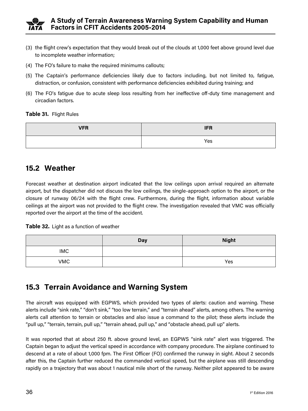

- (3) the flight crew's expectation that they would break out of the clouds at 1,000 feet above ground level due to incomplete weather information;
- (4) The FO's failure to make the required minimums callouts;
- (5) The Captain's performance deficiencies likely due to factors including, but not limited to, fatigue, distraction, or confusion, consistent with performance deficiencies exhibited during training; and
- (6) The FO's fatigue due to acute sleep loss resulting from her ineffective off-duty time management and circadian factors.

**Table 31.** Flight Rules

| <b>VFR</b> | <b>IFR</b> |
|------------|------------|
|            | Yes        |

## **15.2 Weather**

Forecast weather at destination airport indicated that the low ceilings upon arrival required an alternate airport, but the dispatcher did not discuss the low ceilings, the single-approach option to the airport, or the closure of runway 06/24 with the flight crew. Furthermore, during the flight, information about variable ceilings at the airport was not provided to the flight crew. The investigation revealed that VMC was officially reported over the airport at the time of the accident.

**Table 32.** Light as a function of weather

|            | <b>Day</b> | <b>Night</b> |
|------------|------------|--------------|
| <b>IMC</b> |            |              |
| <b>VMC</b> |            | Yes          |

## **15.3 Terrain Avoidance and Warning System**

The aircraft was equipped with EGPWS, which provided two types of alerts: caution and warning. These alerts include "sink rate," "don't sink," "too low terrain," and "terrain ahead" alerts, among others. The warning alerts call attention to terrain or obstacles and also issue a command to the pilot; these alerts include the "pull up," "terrain, terrain, pull up," "terrain ahead, pull up," and "obstacle ahead, pull up" alerts.

It was reported that at about 250 ft. above ground level, an EGPWS "sink rate" alert was triggered. The Captain began to adjust the vertical speed in accordance with company procedure. The airplane continued to descend at a rate of about 1,000 fpm. The First Officer (FO) confirmed the runway in sight. About 2 seconds after this, the Captain further reduced the commanded vertical speed, but the airplane was still descending rapidly on a trajectory that was about 1 nautical mile short of the runway. Neither pilot appeared to be aware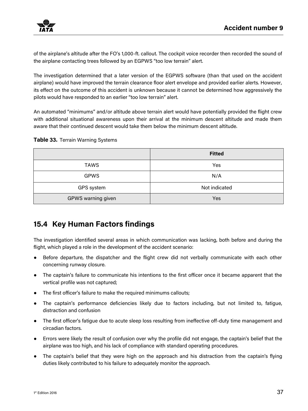

of the airplane's altitude after the FO's 1,000-ft. callout. The cockpit voice recorder then recorded the sound of the airplane contacting trees followed by an EGPWS "too low terrain" alert.

The investigation determined that a later version of the EGPWS software (than that used on the accident airplane) would have improved the terrain clearance floor alert envelope and provided earlier alerts. However, its effect on the outcome of this accident is unknown because it cannot be determined how aggressively the pilots would have responded to an earlier "too low terrain" alert.

An automated "minimums" and/or altitude above terrain alert would have potentially provided the flight crew with additional situational awareness upon their arrival at the minimum descent altitude and made them aware that their continued descent would take them below the minimum descent altitude.

|  | Table 33. Terrain Warning Systems |
|--|-----------------------------------|
|--|-----------------------------------|

|                    | <b>Fitted</b> |  |
|--------------------|---------------|--|
| <b>TAWS</b>        | Yes           |  |
| <b>GPWS</b>        | N/A           |  |
| GPS system         | Not indicated |  |
| GPWS warning given | Yes           |  |

## **15.4 Key Human Factors findings**

The investigation identified several areas in which communication was lacking, both before and during the flight, which played a role in the development of the accident scenario:

- Before departure, the dispatcher and the flight crew did not verbally communicate with each other concerning runway closure.
- The captain's failure to communicate his intentions to the first officer once it became apparent that the vertical profile was not captured;
- The first officer's failure to make the required minimums callouts;
- The captain's performance deficiencies likely due to factors including, but not limited to, fatigue, distraction and confusion
- The first officer's fatigue due to acute sleep loss resulting from ineffective off-duty time management and circadian factors.
- Errors were likely the result of confusion over why the profile did not engage, the captain's belief that the airplane was too high, and his lack of compliance with standard operating procedures.
- The captain's belief that they were high on the approach and his distraction from the captain's flying duties likely contributed to his failure to adequately monitor the approach.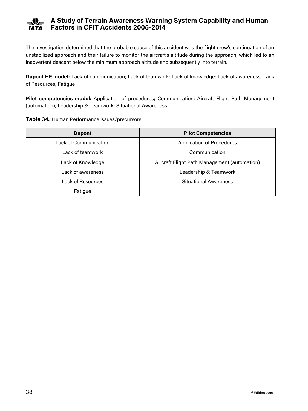The investigation determined that the probable cause of this accident was the flight crew's continuation of an unstabilized approach and their failure to monitor the aircraft's altitude during the approach, which led to an inadvertent descent below the minimum approach altitude and subsequently into terrain.

**Dupont HF model:** Lack of communication; Lack of teamwork; Lack of knowledge; Lack of awareness; Lack of Resources; Fatigue

**Pilot competencies model:** Application of procedures; Communication; Aircraft Flight Path Management (automation); Leadership & Teamwork; Situational Awareness.

|  |  | Table 34. Human Performance issues/precursors |  |  |
|--|--|-----------------------------------------------|--|--|
|--|--|-----------------------------------------------|--|--|

| <b>Dupont</b>         | <b>Pilot Competencies</b>                    |  |  |
|-----------------------|----------------------------------------------|--|--|
| Lack of Communication | <b>Application of Procedures</b>             |  |  |
| Lack of teamwork      | Communication                                |  |  |
| Lack of Knowledge     | Aircraft Flight Path Management (automation) |  |  |
| Lack of awareness     | Leadership & Teamwork                        |  |  |
| Lack of Resources     | <b>Situational Awareness</b>                 |  |  |
| Fatigue               |                                              |  |  |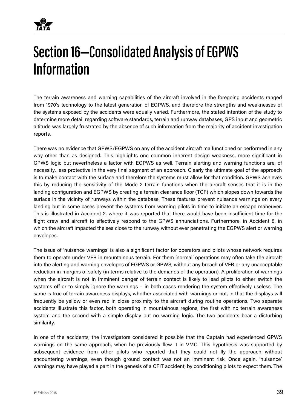

# Section 16—**Consolidated Analysis of EGPWS Information**

The terrain awareness and warning capabilities of the aircraft involved in the foregoing accidents ranged from 1970's technology to the latest generation of EGPWS, and therefore the strengths and weaknesses of the systems exposed by the accidents were equally varied. Furthermore, the stated intention of the study to determine more detail regarding software standards, terrain and runway databases, GPS input and geometric altitude was largely frustrated by the absence of such information from the majority of accident investigation reports.

There was no evidence that GPWS/EGPWS on any of the accident aircraft malfunctioned or performed in any way other than as designed. This highlights one common inherent design weakness, more significant in GPWS logic but nevertheless a factor with EGPWS as well. Terrain alerting and warning functions are, of necessity, less protective in the very final segment of an approach. Clearly the ultimate goal of the approach is to make contact with the surface and therefore the systems must allow for that condition. GPWS achieves this by reducing the sensitivity of the Mode 2 terrain functions when the aircraft senses that it is in the landing configuration and EGPWS by creating a terrain clearance floor (TCF) which slopes down towards the surface in the vicinity of runways within the database. These features prevent nuisance warnings on every landing but in some cases prevent the systems from warning pilots in time to initiate an escape maneuver. This is illustrated in Accident 2, where it was reported that there would have been insufficient time for the flight crew and aircraft to effectively respond to the GPWS annunciations. Furthermore, in Accident 8, in which the aircraft impacted the sea close to the runway without ever penetrating the EGPWS alert or warning envelopes.

The issue of 'nuisance warnings' is also a significant factor for operators and pilots whose network requires them to operate under VFR in mountainous terrain. For them 'normal' operations may often take the aircraft into the alerting and warning envelopes of EGPWS or GPWS, without any breach of VFR or any unacceptable reduction in margins of safety (in terms relative to the demands of the operation). A proliferation of warnings when the aircraft is not in imminent danger of terrain contact is likely to lead pilots to either switch the systems off or to simply ignore the warnings – in both cases rendering the system effectively useless. The same is true of terrain awareness displays, whether associated with warnings or not, in that the displays will frequently be yellow or even red in close proximity to the aircraft during routine operations. Two separate accidents illustrate this factor, both operating in mountainous regions, the first with no terrain awareness system and the second with a simple display but no warning logic. The two accidents bear a disturbing similarity.

In one of the accidents, the investigators considered it possible that the Captain had experienced GPWS warnings on the same approach, when he previously flew it in VMC. This hypothesis was supported by subsequent evidence from other pilots who reported that they could not fly the approach without encountering warnings, even though ground contact was not an imminent risk. Once again, 'nuisance' warnings may have played a part in the genesis of a CFIT accident, by conditioning pilots to expect them. The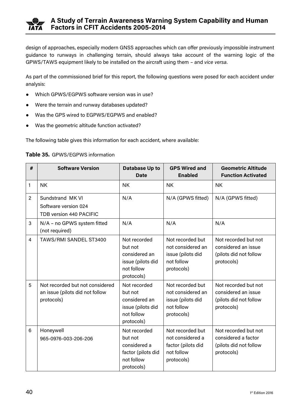design of approaches, especially modern GNSS approaches which can offer previously impossible instrument guidance to runways in challenging terrain, should always take account of the warning logic of the GPWS/TAWS equipment likely to be installed on the aircraft using them – and *vice versa*.

As part of the commissioned brief for this report, the following questions were posed for each accident under analysis:

- Which GPWS/EGPWS software version was in use?
- Were the terrain and runway databases updated?
- Was the GPS wired to EGPWS/EGPWS and enabled?
- Was the geometric altitude function activated?

The following table gives this information for each accident, where available:

#### **Table 35.** GPWS/EGPWS information

| #              | <b>Software Version</b>                                                          | Database Up to<br><b>Date</b>                                                             | <b>GPS Wired and</b><br><b>Enabled</b>                                                 | <b>Geometric Altitude</b><br><b>Function Activated</b>                              |
|----------------|----------------------------------------------------------------------------------|-------------------------------------------------------------------------------------------|----------------------------------------------------------------------------------------|-------------------------------------------------------------------------------------|
| $\mathbf{1}$   | <b>NK</b>                                                                        | <b>NK</b>                                                                                 | <b>NK</b>                                                                              | <b>NK</b>                                                                           |
| $\overline{2}$ | Sundstrand MK VI<br>Software version 024<br>TDB version 440 PACIFIC              | N/A                                                                                       | N/A (GPWS fitted)                                                                      | N/A (GPWS fitted)                                                                   |
| 3              | N/A - no GPWS system fitted<br>(not required)                                    | N/A                                                                                       | N/A                                                                                    | N/A                                                                                 |
| 4              | TAWS/RMI SANDEL ST3400                                                           | Not recorded<br>but not<br>considered an<br>issue (pilots did<br>not follow<br>protocols) | Not recorded but<br>not considered an<br>issue (pilots did<br>not follow<br>protocols) | Not recorded but not<br>considered an issue<br>(pilots did not follow<br>protocols) |
| 5              | Not recorded but not considered<br>an issue (pilots did not follow<br>protocols) | Not recorded<br>but not<br>considered an<br>issue (pilots did<br>not follow<br>protocols) | Not recorded but<br>not considered an<br>issue (pilots did<br>not follow<br>protocols) | Not recorded but not<br>considered an issue<br>(pilots did not follow<br>protocols) |
| 6              | Honeywell<br>965-0976-003-206-206                                                | Not recorded<br>but not<br>considered a<br>factor (pilots did<br>not follow<br>protocols) | Not recorded but<br>not considered a<br>factor (pilots did<br>not follow<br>protocols) | Not recorded but not<br>considered a factor<br>(pilots did not follow<br>protocols) |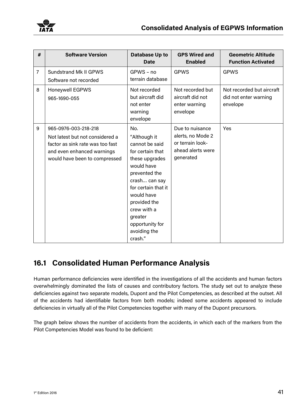

| #              | <b>Software Version</b>                                                                                                                                    | Database Up to<br><b>Date</b>                                                                                                                                                                                                                            | <b>GPS Wired and</b><br><b>Enabled</b>                                                     | <b>Geometric Altitude</b><br><b>Function Activated</b>         |
|----------------|------------------------------------------------------------------------------------------------------------------------------------------------------------|----------------------------------------------------------------------------------------------------------------------------------------------------------------------------------------------------------------------------------------------------------|--------------------------------------------------------------------------------------------|----------------------------------------------------------------|
| $\overline{7}$ | Sundstrand Mk II GPWS<br>Software not recorded                                                                                                             | GPWS-no<br>terrain database                                                                                                                                                                                                                              | <b>GPWS</b>                                                                                | <b>GPWS</b>                                                    |
| 8              | <b>Honeywell EGPWS</b><br>965-1690-055                                                                                                                     | Not recorded<br>but aircraft did<br>not enter<br>warning<br>envelope                                                                                                                                                                                     | Not recorded but<br>aircraft did not<br>enter warning<br>envelope                          | Not recorded but aircraft<br>did not enter warning<br>envelope |
| 9              | 965-0976-003-218-218<br>Not latest but not considered a<br>factor as sink rate was too fast<br>and even enhanced warnings<br>would have been to compressed | No.<br>"Although it<br>cannot be said<br>for certain that<br>these upgrades<br>would have<br>prevented the<br>crash can say<br>for certain that it<br>would have<br>provided the<br>crew with a<br>greater<br>opportunity for<br>avoiding the<br>crash." | Due to nuisance<br>alerts, no Mode 2<br>or terrain look-<br>ahead alerts were<br>generated | Yes                                                            |

# **16.1 Consolidated Human Performance Analysis**

Human performance deficiencies were identified in the investigations of all the accidents and human factors overwhelmingly dominated the lists of causes and contributory factors. The study set out to analyze these deficiencies against two separate models, Dupont and the Pilot Competencies, as described at the outset. All of the accidents had identifiable factors from both models; indeed some accidents appeared to include deficiencies in virtually all of the Pilot Competencies together with many of the Dupont precursors.

The graph below shows the number of accidents from the accidents, in which each of the markers from the Pilot Competencies Model was found to be deficient: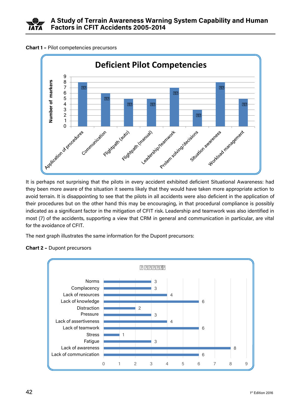





It is perhaps not surprising that the pilots in every accident exhibited deficient Situational Awareness: had they been more aware of the situation it seems likely that they would have taken more appropriate action to avoid terrain. It is disappointing to see that the pilots in all accidents were also deficient in the application of their procedures but on the other hand this may be encouraging, in that procedural compliance is possibly indicated as a significant factor in the mitigation of CFIT risk. Leadership and teamwork was also identified in most (7) of the accidents, supporting a view that CRM in general and communication in particular, are vital for the avoidance of CFIT.

The next graph illustrates the same information for the Dupont precursors:



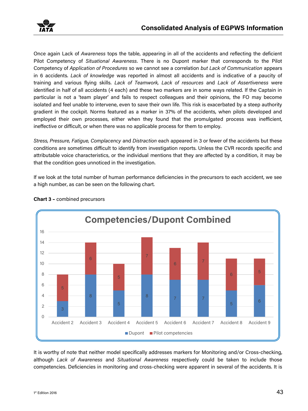

Once again Lack of *Awareness* tops the table, appearing in all of the accidents and reflecting the deficient Pilot Competency of *Situational Awareness*. There is no Dupont marker that corresponds to the Pilot Competency of *Application of Procedures* so we cannot see a correlation *but Lack of Communication* appears in 6 accidents. *Lack of knowledge* was reported in almost all accidents and is indicative of a paucity of training and various flying skills. *Lack of Teamwork, Lack of resources* and *Lack of Assertiveness* were identified in half of all accidents (4 each) and these two markers are in some ways related. If the Captain in particular is not a 'team player' and fails to respect colleagues and their opinions, the FO may become isolated and feel unable to intervene, even to save their own life. This risk is exacerbated by a steep authority gradient in the cockpit. Norms featured as a marker in 37% of the accidents, when pilots developed and employed their own processes, either when they found that the promulgated process was inefficient, ineffective or difficult, or when there was no applicable process for them to employ.

*Stress, Pressure, Fatigue, Complacency* and *Distraction* each appeared in 3 or fewer of the accidents but these conditions are sometimes difficult to identify from investigation reports. Unless the CVR records specific and attributable voice characteristics, or the individual mentions that they are affected by a condition, it may be that the condition goes unnoticed in the investigation.

If we look at the total number of human performance deficiencies in the precursors to each accident, we see a high number, as can be seen on the following chart.



#### **Chart 3 –** combined precursors

It is worthy of note that neither model specifically addresses markers for Monitoring and/or Cross-checking, although *Lack of Awareness* and *Situational Awareness* respectively could be taken to include those competencies. Deficiencies in monitoring and cross-checking were apparent in several of the accidents. It is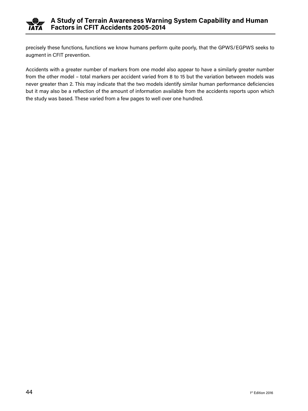

precisely these functions, functions we know humans perform quite poorly, that the GPWS/EGPWS seeks to augment in CFIT prevention.

Accidents with a greater number of markers from one model also appear to have a similarly greater number from the other model – total markers per accident varied from 8 to 15 but the variation between models was never greater than 2. This may indicate that the two models identify similar human performance deficiencies but it may also be a reflection of the amount of information available from the accidents reports upon which the study was based. These varied from a few pages to well over one hundred.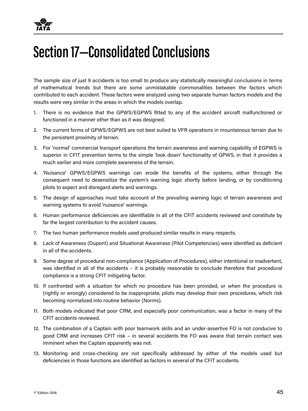

# Section 17—**Consolidated Conclusions**

The sample size of just 9 accidents is too small to produce any statistically meaningful conclusions in terms of mathematical trends but there are some unmistakable commonalities between the factors which contributed to each accident. These factors were analyzed using two separate human factors models and the results were very similar in the areas in which the models overlap.

- 1. There is no evidence that the GPWS/EGPWS fitted to any of the accident aircraft malfunctioned or functioned in a manner other than as it was designed.
- 2. The current forms of GPWS/EGPWS are not best suited to VFR operations in mountainous terrain due to the persistent proximity of terrain.
- 3. For 'normal' commercial transport operations the terrain awareness and warning capability of EGPWS is superior in CFIT prevention terms to the simple 'look down' functionality of GPWS, in that it provides a much earlier and more complete awareness of the terrain.
- 4. 'Nuisance' GPWS/EGPWS warnings can erode the benefits of the systems, either through the consequent need to desensitize the system's warning logic shortly before landing, or by conditioning pilots to expect and disregard alerts and warnings.
- 5. The design of approaches must take account of the prevailing warning logic of terrain awareness and warning systems to avoid 'nuisance' warnings.
- 6. Human performance deficiencies are identifiable in all of the CFIT accidents reviewed and constitute by far the largest contribution to the accident causes.
- 7. The two human performance models used produced similar results in many respects.
- 8. Lack of Awareness (Dupont) and Situational Awareness (Pilot Competencies) were identified as deficient in all of the accidents.
- 9. Some degree of procedural non-compliance (Application of Procedures), either intentional or inadvertent, was identified in all of the accidents – it is probably reasonable to conclude therefore that procedural compliance is a strong CFIT mitigating factor.
- 10. If confronted with a situation for which no procedure has been provided, or when the procedure is (rightly or wrongly) considered to be inappropriate, pilots may develop their own procedures, which risk becoming normalized into routine behavior (Norms).
- 11. Both models indicated that poor CRM, and especially poor communication, was a factor in many of the CFIT accidents reviewed.
- 12. The combination of a Captain with poor teamwork skills and an under-assertive FO is not conducive to good CRM and increases CFIT risk – in several accidents the FO was aware that terrain contact was imminent when the Captain apparently was not.
- 13. Monitoring and cross-checking are not specifically addressed by either of the models used but deficiencies in those functions are identified as factors in several of the CFIT accidents.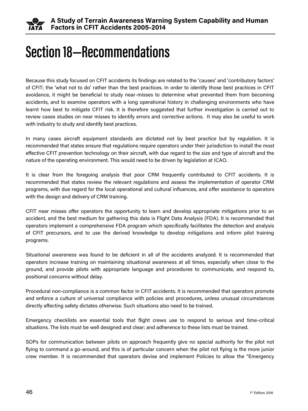

# Section 18—**Recommendations**

Because this study focused on CFIT accidents its findings are related to the 'causes' and 'contributory factors' of CFIT; the 'what not to do' rather than the best practices. In order to identify those best practices in CFIT avoidance, it might be beneficial to study near-misses to determine what prevented them from becoming accidents, and to examine operators with a long operational history in challenging environments who have learnt how best to mitigate CFIT risk. It is therefore suggested that further investigation is carried out to review cases studies on near misses to identify errors and corrective actions. It may also be useful to work with industry to study and identify best practices.

In many cases aircraft equipment standards are dictated not by best practice but by regulation. It is recommended that states ensure that regulations require operators under their jurisdiction to install the most effective CFIT prevention technology on their aircraft, with due regard to the size and type of aircraft and the nature of the operating environment. This would need to be driven by legislation at ICAO.

It is clear from the foregoing analysis that poor CRM frequently contributed to CFIT accidents. It is recommended that states review the relevant regulations and assess the implementation of operator CRM programs, with due regard for the local operational and cultural influences, and offer assistance to operators with the design and delivery of CRM training.

CFIT near misses offer operators the opportunity to learn and develop appropriate mitigations prior to an accident, and the best medium for gathering this data is Flight Data Analysis (FDA). It is recommended that operators implement a comprehensive FDA program which specifically facilitates the detection and analysis of CFIT precursors, and to use the derived knowledge to develop mitigations and inform pilot training programs.

Situational awareness was found to be deficient in all of the accidents analyzed. It is recommended that operators increase training on maintaining situational awareness at all times, especially when close to the ground, and provide pilots with appropriate language and procedures to communicate, and respond to, positional concerns without delay.

Procedural non-compliance is a common factor in CFIT accidents. It is recommended that operators promote and enforce a culture of universal compliance with policies and procedures, unless unusual circumstances directly affecting safety dictates otherwise. Such situations also need to be trained.

Emergency checklists are essential tools that flight crews use to respond to serious and time-critical situations. The lists must be well designed and clear; and adherence to these lists must be trained.

SOPs for communication between pilots on approach frequently give no special authority for the pilot not flying to command a go-around, and this is of particular concern when the pilot not flying is the more junior crew member. It is recommended that operators devise and implement Policies to allow the "Emergency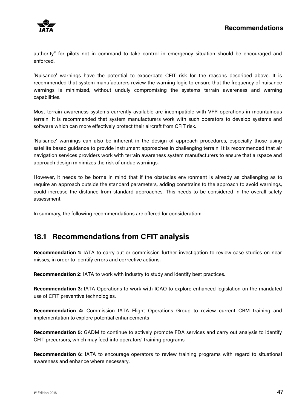

authority" for pilots not in command to take control in emergency situation should be encouraged and enforced.

'Nuisance' warnings have the potential to exacerbate CFIT risk for the reasons described above. It is recommended that system manufacturers review the warning logic to ensure that the frequency of nuisance warnings is minimized, without unduly compromising the systems terrain awareness and warning capabilities.

Most terrain awareness systems currently available are incompatible with VFR operations in mountainous terrain. It is recommended that system manufacturers work with such operators to develop systems and software which can more effectively protect their aircraft from CFIT risk.

'Nuisance' warnings can also be inherent in the design of approach procedures, especially those using satellite based guidance to provide instrument approaches in challenging terrain. It is recommended that air navigation services providers work with terrain awareness system manufacturers to ensure that airspace and approach design minimizes the risk of undue warnings.

However, it needs to be borne in mind that if the obstacles environment is already as challenging as to require an approach outside the standard parameters, adding constrains to the approach to avoid warnings, could increase the distance from standard approaches. This needs to be considered in the overall safety assessment.

In summary, the following recommendations are offered for consideration:

## **18.1 Recommendations from CFIT analysis**

**Recommendation 1:** IATA to carry out or commission further investigation to review case studies on near misses, in order to identify errors and corrective actions.

**Recommendation 2:** IATA to work with industry to study and identify best practices.

**Recommendation 3:** IATA Operations to work with ICAO to explore enhanced legislation on the mandated use of CFIT preventive technologies.

**Recommendation 4:** Commission IATA Flight Operations Group to review current CRM training and implementation to explore potential enhancements

**Recommendation 5:** GADM to continue to actively promote FDA services and carry out analysis to identify CFIT precursors, which may feed into operators' training programs.

**Recommendation 6:** IATA to encourage operators to review training programs with regard to situational awareness and enhance where necessary.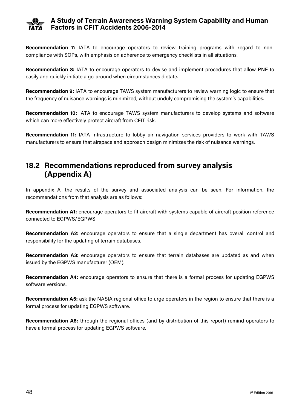

**Recommendation 7:** IATA to encourage operators to review training programs with regard to noncompliance with SOPs, with emphasis on adherence to emergency checklists in all situations.

**Recommendation 8:** IATA to encourage operators to devise and implement procedures that allow PNF to easily and quickly initiate a go-around when circumstances dictate.

**Recommendation 9:** IATA to encourage TAWS system manufacturers to review warning logic to ensure that the frequency of nuisance warnings is minimized, without unduly compromising the system's capabilities.

**Recommendation 10:** IATA to encourage TAWS system manufacturers to develop systems and software which can more effectively protect aircraft from CFIT risk.

**Recommendation 11:** IATA Infrastructure to lobby air navigation services providers to work with TAWS manufacturers to ensure that airspace and approach design minimizes the risk of nuisance warnings.

## **18.2 Recommendations reproduced from survey analysis (Appendix A)**

In appendix A, the results of the survey and associated analysis can be seen. For information, the recommendations from that analysis are as follows:

**Recommendation A1:** encourage operators to fit aircraft with systems capable of aircraft position reference connected to EGPWS/EGPWS

**Recommendation A2:** encourage operators to ensure that a single department has overall control and responsibility for the updating of terrain databases.

**Recommendation A3:** encourage operators to ensure that terrain databases are updated as and when issued by the EGPWS manufacturer (OEM).

**Recommendation A4:** encourage operators to ensure that there is a formal process for updating EGPWS software versions.

**Recommendation A5:** ask the NASIA regional office to urge operators in the region to ensure that there is a formal process for updating EGPWS software.

**Recommendation A6:** through the regional offices (and by distribution of this report) remind operators to have a formal process for updating EGPWS software.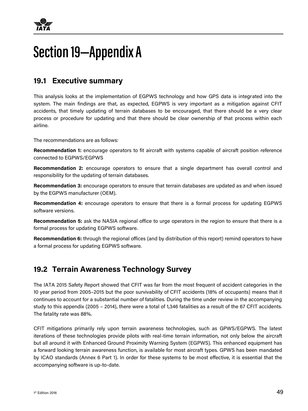

# Section 19—**Appendix A**

## **19.1 Executive summary**

This analysis looks at the implementation of EGPWS technology and how GPS data is integrated into the system. The main findings are that, as expected, EGPWS is very important as a mitigation against CFIT accidents, that timely updating of terrain databases to be encouraged, that there should be a very clear process or procedure for updating and that there should be clear ownership of that process within each airline.

The recommendations are as follows:

**Recommendation 1:** encourage operators to fit aircraft with systems capable of aircraft position reference connected to EGPWS/EGPWS

**Recommendation 2:** encourage operators to ensure that a single department has overall control and responsibility for the updating of terrain databases.

**Recommendation 3:** encourage operators to ensure that terrain databases are updated as and when issued by the EGPWS manufacturer (OEM).

**Recommendation 4:** encourage operators to ensure that there is a formal process for updating EGPWS software versions.

**Recommendation 5:** ask the NASIA regional office to urge operators in the region to ensure that there is a formal process for updating EGPWS software.

**Recommendation 6:** through the regional offices (and by distribution of this report) remind operators to have a formal process for updating EGPWS software.

## **19.2 Terrain Awareness Technology Survey**

The IATA 2015 Safety Report showed that CFIT was far from the most frequent of accident categories in the 10 year period from 2005–2015 but the poor survivability of CFIT accidents (18% of occupants) means that it continues to account for a substantial number of fatalities. During the time under review in the accompanying study to this appendix (2005 – 2014), there were a total of 1,346 fatalities as a result of the 67 CFIT accidents. The fatality rate was 88%.

CFIT mitigations primarily rely upon terrain awareness technologies, such as GPWS/EGPWS. The latest iterations of these technologies provide pilots with real-time terrain information, not only below the aircraft but all around it with Enhanced Ground Proximity Warning System (EGPWS). This enhanced equipment has a forward looking terrain awareness function, is available for most aircraft types. GPWS has been mandated by ICAO standards (Annex 6 Part 1). In order for these systems to be most effective, it is essential that the accompanying software is up-to-date.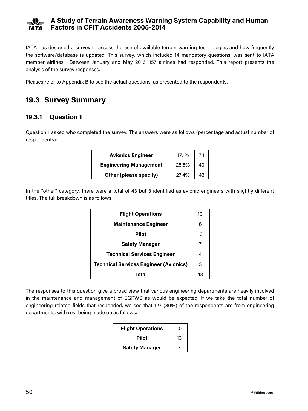IATA has designed a survey to assess the use of available terrain warning technologies and how frequently the software/database is updated. This survey, which included 14 mandatory questions, was sent to IATA member airlines. Between January and May 2016, 157 airlines had responded. This report presents the analysis of the survey responses.

Pleases refer to Appendix B to see the actual questions, as presented to the respondents.

## **19.3 Survey Summary**

### **19.3.1 Question 1**

Question 1 asked who completed the survey. The answers were as follows (percentage and actual number of respondents):

| <b>Avionics Engineer</b>      | 47.1% | 74 |
|-------------------------------|-------|----|
| <b>Engineering Management</b> | 25.5% | 40 |
| Other (please specify)        | 27.4% | 43 |

In the "other" category, there were a total of 43 but 3 identified as avionic engineers with slightly different titles. The full breakdown is as follows:

| <b>Flight Operations</b>                      | 10 |
|-----------------------------------------------|----|
| <b>Maintenance Engineer</b>                   |    |
| Pilot                                         | 13 |
| <b>Safety Manager</b>                         |    |
| <b>Technical Services Engineer</b>            |    |
| <b>Technical Services Engineer (Avionics)</b> |    |
| Total                                         | 43 |

The responses to this question give a broad view that various engineering departments are heavily involved in the maintenance and management of EGPWS as would be expected. If we take the total number of engineering related fields that responded, we see that 127 (80%) of the respondents are from engineering departments, with rest being made up as follows:

| <b>Flight Operations</b> | 10 |
|--------------------------|----|
| Pilot                    | 13 |
| <b>Safety Manager</b>    |    |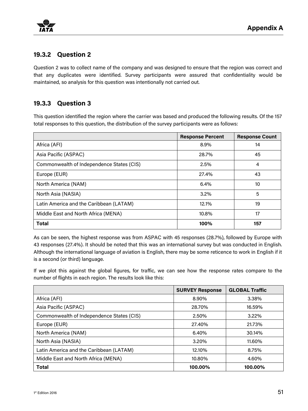

## **19.3.2 Question 2**

Question 2 was to collect name of the company and was designed to ensure that the region was correct and that any duplicates were identified. Survey participants were assured that confidentiality would be maintained, so analysis for this question was intentionally not carried out.

## **19.3.3 Question 3**

This question identified the region where the carrier was based and produced the following results. Of the 157 total responses to this question, the distribution of the survey participants were as follows:

|                                           | <b>Response Percent</b> | <b>Response Count</b> |
|-------------------------------------------|-------------------------|-----------------------|
| Africa (AFI)                              | 8.9%                    | 14                    |
| Asia Pacific (ASPAC)                      | 28.7%                   | 45                    |
| Commonwealth of Independence States (CIS) | 2.5%                    | 4                     |
| Europe (EUR)                              | 27.4%                   | 43                    |
| North America (NAM)                       | 6.4%                    | 10                    |
| North Asia (NASIA)                        | 3.2%                    | 5                     |
| Latin America and the Caribbean (LATAM)   | 12.1%                   | 19                    |
| Middle East and North Africa (MENA)       | 10.8%                   | 17                    |
| <b>Total</b>                              | 100%                    | 157                   |

As can be seen, the highest response was from ASPAC with 45 responses (28.7%), followed by Europe with 43 responses (27.4%). It should be noted that this was an international survey but was conducted in English. Although the international language of aviation is English, there may be some reticence to work in English if it is a second (or third) language.

If we plot this against the global figures, for traffic, we can see how the response rates compare to the number of flights in each region. The results look like this:

|                                           | <b>SURVEY Response</b> | <b>GLOBAL Traffic</b> |
|-------------------------------------------|------------------------|-----------------------|
| Africa (AFI)                              | 8.90%                  | 3.38%                 |
| Asia Pacific (ASPAC)                      | 28.70%                 | 16.59%                |
| Commonwealth of Independence States (CIS) | 2.50%                  | $3.22\%$              |
| Europe (EUR)                              | 27.40%                 | 21.73%                |
| North America (NAM)                       | 6.40%                  | 30.14%                |
| North Asia (NASIA)                        | 3.20%                  | 11.60%                |
| Latin America and the Caribbean (LATAM)   | 12.10%                 | 8.75%                 |
| Middle East and North Africa (MENA)       | 10.80%                 | 4.60%                 |
| <b>Total</b>                              | 100.00%                | 100.00%               |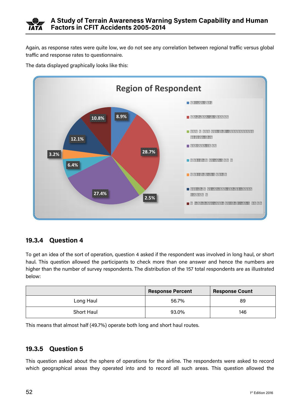### **A Study of Terrain Awareness Warning System Capability and Human Factors in CFIT Accidents 2005-2014**

Again, as response rates were quite low, we do not see any correlation between regional traffic versus global traffic and response rates to questionnaire.

The data displayed graphically looks like this:



### **19.3.4 Question 4**

To get an idea of the sort of operation, question 4 asked if the respondent was involved in long haul, or short haul. This question allowed the participants to check more than one answer and hence the numbers are higher than the number of survey respondents. The distribution of the 157 total respondents are as illustrated below:

|            | <b>Response Percent</b> | <b>Response Count</b> |
|------------|-------------------------|-----------------------|
| Long Haul  | 56.7%                   | 89                    |
| Short Haul | 93.0%                   | 146                   |

This means that almost half (49.7%) operate both long and short haul routes.

### **19.3.5 Question 5**

This question asked about the sphere of operations for the airline. The respondents were asked to record which geographical areas they operated into and to record all such areas. This question allowed the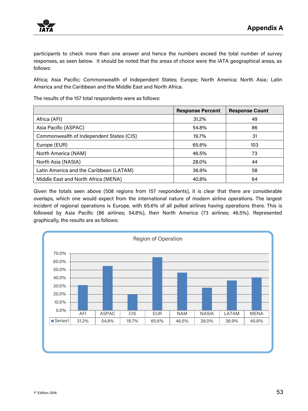

participants to check more than one answer and hence the numbers exceed the total number of survey responses, as seen below. It should be noted that the areas of choice were the IATA geographical areas, as follows:

Africa; Asia Pacific; Commonwealth of Independent States; Europe; North America; North Asia; Latin America and the Caribbean and the Middle East and North Africa.

The results of the 157 total respondents were as follows:

|                                          | <b>Response Percent</b> | <b>Response Count</b> |
|------------------------------------------|-------------------------|-----------------------|
| Africa (AFI)                             | 31.2%                   | 49                    |
| Asia Pacific (ASPAC)                     | 54.8%                   | 86                    |
| Commonwealth of Independent States (CIS) | 19.7%                   | 31                    |
| Europe (EUR)                             | 65.6%                   | 103                   |
| North America (NAM)                      | 46.5%                   | 73                    |
| North Asia (NASIA)                       | 28.0%                   | 44                    |
| Latin America and the Caribbean (LATAM)  | 36.9%                   | 58                    |
| Middle East and North Africa (MENA)      | 40.8%                   | 64                    |

Given the totals seen above (508 regions from 157 respondents), it is clear that there are considerable overlaps, which one would expect from the international nature of modern airline operations. The largest incident of regional operations is Europe, with 65.6% of all polled airlines having operations there. This is followed by Asia Pacific (86 airlines; 54.8%), then North America (73 airlines; 46.5%). Represented graphically, the results are as follows:

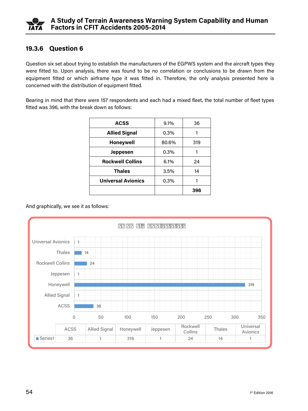## **19.3.6 Question 6**

Question six set about trying to establish the manufacturers of the EGPWS system and the aircraft types they were fitted to. Upon analysis, there was found to be no correlation or conclusions to be drawn from the equipment fitted or which airframe type it was fitted in. Therefore, the only analysis presented here is concerned with the distribution of equipment fitted.

Bearing in mind that there were 157 respondents and each had a mixed fleet, the total number of fleet types fitted was 396, with the break down as follows:

| <b>ACSS</b>               | 9.1%  | 36  |
|---------------------------|-------|-----|
| <b>Allied Signal</b>      | 0.3%  |     |
| <b>Honeywell</b>          | 80.6% | 319 |
| Jeppesen                  | 0.3%  |     |
| <b>Rockwell Collins</b>   | 6.1%  | 24  |
| <b>Thales</b>             | 3.5%  | 14  |
| <b>Universal Avionics</b> | 0.3%  |     |
|                           |       | 396 |

And graphically, we see it as follows:

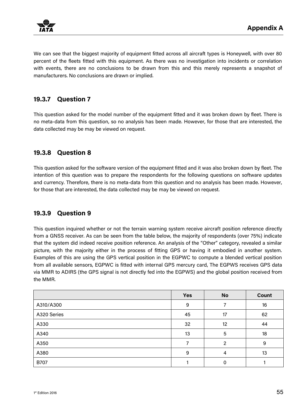

We can see that the biggest majority of equipment fitted across all aircraft types is Honeywell, with over 80 percent of the fleets fitted with this equipment. As there was no investigation into incidents or correlation with events, there are no conclusions to be drawn from this and this merely represents a snapshot of manufacturers. No conclusions are drawn or implied.

## **19.3.7 Question 7**

This question asked for the model number of the equipment fitted and it was broken down by fleet. There is no meta-data from this question, so no analysis has been made. However, for those that are interested, the data collected may be may be viewed on request.

## **19.3.8 Question 8**

This question asked for the software version of the equipment fitted and it was also broken down by fleet. The intention of this question was to prepare the respondents for the following questions on software updates and currency. Therefore, there is no meta-data from this question and no analysis has been made. However, for those that are interested, the data collected may be may be viewed on request.

### **19.3.9 Question 9**

This question inquired whether or not the terrain warning system receive aircraft position reference directly from a GNSS receiver. As can be seen from the table below, the majority of respondents (over 75%) indicate that the system did indeed receive position reference. An analysis of the "Other" category, revealed a similar picture, with the majority either in the process of fitting GPS or having it embodied in another system. Examples of this are using the GPS vertical position in the EGPWC to compute a blended vertical position from all available sensors, EGPWC is fitted with internal GPS mercury card, The EGPWS receives GPS data via MMR to ADIRS (the GPS signal is not directly fed into the EGPWS) and the global position received from the MMR.

|             | <b>Yes</b> | <b>No</b>     | Count |
|-------------|------------|---------------|-------|
| A310/A300   | 9          |               | 16    |
| A320 Series | 45         | 17            | 62    |
| A330        | 32         | 12            | 44    |
| A340        | 13         | 5             | 18    |
| A350        | 7          | $\mathcal{P}$ | 9     |
| A380        | 9          | 4             | 13    |
| <b>B707</b> |            | 0             |       |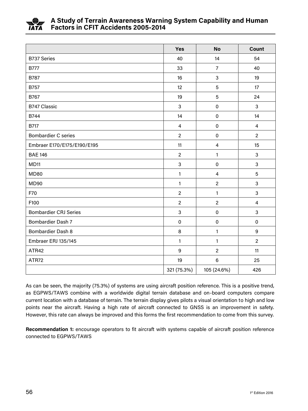

### **A Study of Terrain Awareness Warning System Capability and Human Factors in CFIT Accidents 2005-2014**

|                              | <b>Yes</b>     | <b>No</b>      | Count          |
|------------------------------|----------------|----------------|----------------|
| <b>B737 Series</b>           | 40             | 14             | 54             |
| <b>B777</b>                  | 33             | $\overline{7}$ | 40             |
| <b>B787</b>                  | 16             | 3              | 19             |
| <b>B757</b>                  | 12             | $\sqrt{5}$     | 17             |
| <b>B767</b>                  | 19             | 5              | 24             |
| <b>B747 Classic</b>          | 3              | $\pmb{0}$      | 3              |
| <b>B744</b>                  | 14             | $\pmb{0}$      | 14             |
| <b>B717</b>                  | $\overline{4}$ | $\mathbf 0$    | $\overline{4}$ |
| <b>Bombardier C series</b>   | $\overline{c}$ | $\pmb{0}$      | $\overline{2}$ |
| Embraer E170/E175/E190/E195  | 11             | $\overline{4}$ | 15             |
| <b>BAE 146</b>               | $\overline{2}$ | $\mathbf{1}$   | 3              |
| <b>MD11</b>                  | $\mathfrak{S}$ | $\pmb{0}$      | 3              |
| <b>MD80</b>                  | $\mathbf{1}$   | $\overline{4}$ | 5              |
| <b>MD90</b>                  | $\mathbf{1}$   | $\overline{c}$ | 3              |
| F70                          | $\overline{c}$ | $\mathbf{1}$   | 3              |
| F100                         | $\overline{c}$ | $\overline{c}$ | $\overline{4}$ |
| <b>Bombardier CRJ Series</b> | 3              | $\pmb{0}$      | 3              |
| Bombardier Dash 7            | $\pmb{0}$      | $\pmb{0}$      | 0              |
| Bombardier Dash 8            | 8              | $\mathbf{1}$   | 9              |
| Embraer ERJ 135/145          | $\mathbf{1}$   | $\mathbf{1}$   | $\overline{2}$ |
| ATR42                        | 9              | $\overline{2}$ | 11             |
| ATR72                        | 19             | $6\phantom{1}$ | 25             |
|                              | 321 (75.3%)    | 105 (24.6%)    | 426            |

As can be seen, the majority (75.3%) of systems are using aircraft position reference. This is a positive trend, as EGPWS/TAWS combine with a worldwide digital terrain database and on-board computers compare current location with a database of terrain. The terrain display gives pilots a visual orientation to high and low points near the aircraft. Having a high rate of aircraft connected to GNSS is an improvement in safety. However, this rate can always be improved and this forms the first recommendation to come from this survey.

**Recommendation 1:** encourage operators to fit aircraft with systems capable of aircraft position reference connected to EGPWS/TAWS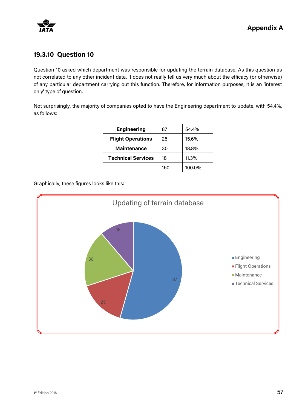

## **19.3.10 Question 10**

Question 10 asked which department was responsible for updating the terrain database. As this question as not correlated to any other incident data, it does not really tell us very much about the efficacy (or otherwise) of any particular department carrying out this function. Therefore, for information purposes, it is an 'interest only' type of question.

Not surprisingly, the majority of companies opted to have the Engineering department to update, with 54.4%, as follows:

| <b>Engineering</b>        | 87  | 54.4%  |
|---------------------------|-----|--------|
| <b>Flight Operations</b>  | 25  | 15.6%  |
| <b>Maintenance</b>        | 30  | 18.8%  |
| <b>Technical Services</b> | 18  | 11.3%  |
|                           | 160 | 100.0% |

Graphically, these figures looks like this:

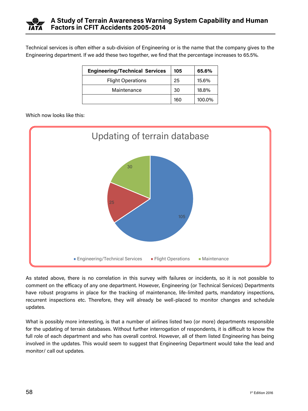Technical services is often either a sub-division of Engineering or is the name that the company gives to the Engineering department. If we add these two together, we find that the percentage increases to 65.5%.

| <b>Engineering/Technical Services</b> | 105 | 65.6%  |
|---------------------------------------|-----|--------|
| <b>Flight Operations</b>              | 25  | 15.6%  |
| Maintenance                           | 30  | 18.8%  |
|                                       | 160 | 100.0% |

Which now looks like this:



As stated above, there is no correlation in this survey with failures or incidents, so it is not possible to comment on the efficacy of any one department. However, Engineering (or Technical Services) Departments have robust programs in place for the tracking of maintenance, life-limited parts, mandatory inspections, recurrent inspections etc. Therefore, they will already be well-placed to monitor changes and schedule updates.

What is possibly more interesting, is that a number of airlines listed two (or more) departments responsible for the updating of terrain databases. Without further interrogation of respondents, it is difficult to know the full role of each department and who has overall control. However, all of them listed Engineering has being involved in the updates. This would seem to suggest that Engineering Department would take the lead and monitor/ call out updates.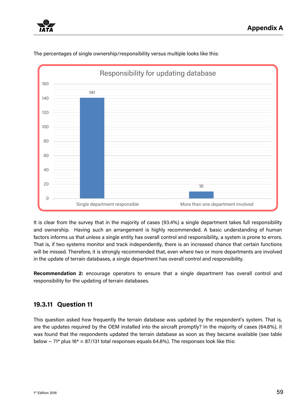



The percentages of single ownership/responsibility versus multiple looks like this:

It is clear from the survey that in the majority of cases (93.4%) a single department takes full responsibility and ownership. Having such an arrangement is highly recommended. A basic understanding of human factors informs us that unless a single entity has overall control and responsibility, a system is prone to errors. That is, if two systems monitor and track independently, there is an increased chance that certain functions will be missed. Therefore, it is strongly recommended that, even where two or more departments are involved in the update of terrain databases, a single department has overall control and responsibility.

**Recommendation 2:** encourage operators to ensure that a single department has overall control and responsibility for the updating of terrain databases.

### **19.3.11 Question 11**

This question asked how frequently the terrain database was updated by the respondent's system. That is, are the updates required by the OEM installed into the aircraft promptly? In the majority of cases (64.8%), it was found that the respondents updated the terrain database as soon as they became available (see table below  $\sim$  71\* plus 16\* = 87/131 total responses equals 64.8%). The responses look like this: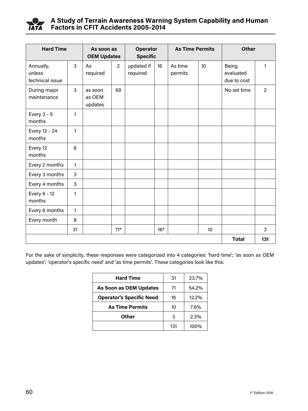

| <b>Hard Time</b>                       |                |                              | As soon as<br><b>OEM Updates</b> |                        | <b>Operator</b><br><b>Specific</b> |                    | <b>As Time Permits</b> |                                   | <b>Other</b>   |  |
|----------------------------------------|----------------|------------------------------|----------------------------------|------------------------|------------------------------------|--------------------|------------------------|-----------------------------------|----------------|--|
| Annually,<br>unless<br>technical issue | 3              | As<br>required               | $\overline{2}$                   | updated if<br>required | 16                                 | As time<br>permits | 10                     | Being<br>evaluated<br>due to cost | $\mathbf{1}$   |  |
| During major<br>maintenance            | 3              | as soon<br>as OEM<br>updates | 69                               |                        |                                    |                    |                        | No set time                       | $\overline{2}$ |  |
| Every $3 - 5$<br>months                | 1              |                              |                                  |                        |                                    |                    |                        |                                   |                |  |
| Every 12 - 24<br>months                | 1              |                              |                                  |                        |                                    |                    |                        |                                   |                |  |
| Every 12<br>months                     | 6              |                              |                                  |                        |                                    |                    |                        |                                   |                |  |
| Every 2 months                         | 1              |                              |                                  |                        |                                    |                    |                        |                                   |                |  |
| Every 3 months                         | $\mathbf{3}$   |                              |                                  |                        |                                    |                    |                        |                                   |                |  |
| Every 4 months                         | $\mathfrak{S}$ |                              |                                  |                        |                                    |                    |                        |                                   |                |  |
| Every 6 - 12<br>months                 | 1              |                              |                                  |                        |                                    |                    |                        |                                   |                |  |
| Every 6 months                         | 1              |                              |                                  |                        |                                    |                    |                        |                                   |                |  |
| Every month                            | 8              |                              |                                  |                        |                                    |                    |                        |                                   |                |  |
|                                        | 31             |                              | $71*$                            |                        | $16*$                              |                    | 10                     |                                   | 3              |  |
|                                        |                |                              |                                  |                        |                                    |                    |                        | <b>Total</b>                      | 131            |  |

For the sake of simplicity, these responses were categorized into 4 categories: 'hard time'; 'as soon as OEM updates'; 'operator's specific need' and 'as time permits'. These categories look like this:

| <b>Hard Time</b>                | 31  | 23.7% |  |
|---------------------------------|-----|-------|--|
| <b>As Soon as OEM Updates</b>   | 71  | 54.2% |  |
| <b>Operator's Specific Need</b> | 16  | 12.2% |  |
| <b>As Time Permits</b>          | 10  | 7.6%  |  |
| Other                           | 3   | 2.3%  |  |
|                                 | 131 | 100%  |  |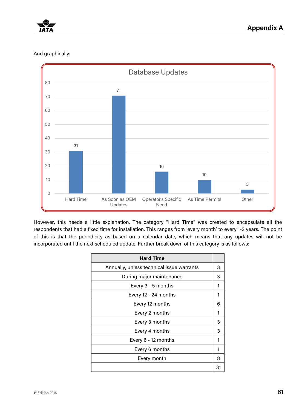

And graphically:



However, this needs a little explanation. The category "Hard Time" was created to encapsulate all the respondents that had a fixed time for installation. This ranges from 'every month' to every 1-2 years. The point of this is that the periodicity as based on a calendar date, which means that any updates will not be incorporated until the next scheduled update. Further break down of this category is as follows:

| <b>Hard Time</b>                          |    |  |  |  |
|-------------------------------------------|----|--|--|--|
| Annually, unless technical issue warrants |    |  |  |  |
| During major maintenance                  |    |  |  |  |
| Every 3 - 5 months                        |    |  |  |  |
| Every 12 - 24 months                      | 1  |  |  |  |
| Every 12 months                           | 6  |  |  |  |
| Every 2 months                            |    |  |  |  |
| Every 3 months                            | 3  |  |  |  |
| Every 4 months                            | 3  |  |  |  |
| Every 6 - 12 months                       | 1  |  |  |  |
| Every 6 months                            |    |  |  |  |
| Every month                               | 8  |  |  |  |
|                                           | 31 |  |  |  |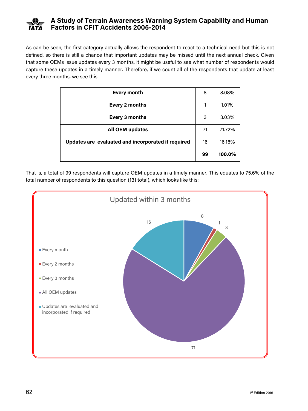

As can be seen, the first category actually allows the respondent to react to a technical need but this is not defined, so there is still a chance that important updates may be missed until the next annual check. Given that some OEMs issue updates every 3 months, it might be useful to see what number of respondents would capture these updates in a timely manner. Therefore, if we count all of the respondents that update at least every three months, we see this:

| <b>Every month</b>                                 | 8  | 8.08%  |
|----------------------------------------------------|----|--------|
| Every 2 months                                     | 1  | 1.01%  |
| Every 3 months                                     | 3  | 3.03%  |
| <b>All OEM updates</b>                             | 71 | 71.72% |
| Updates are evaluated and incorporated if required | 16 | 16.16% |
|                                                    | 99 | 100.0% |

That is, a total of 99 respondents will capture OEM updates in a timely manner. This equates to 75.6% of the total number of respondents to this question (131 total), which looks like this:

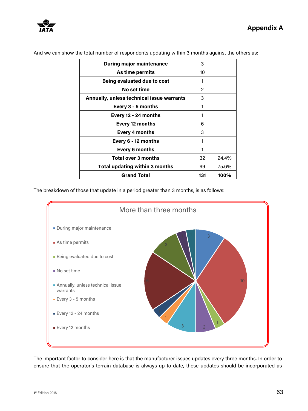

| <b>During major maintenance</b>           | 3   |       |
|-------------------------------------------|-----|-------|
| As time permits                           | 10  |       |
| Being evaluated due to cost               |     |       |
| No set time                               | 2   |       |
| Annually, unless technical issue warrants | 3   |       |
| Every 3 - 5 months                        |     |       |
| Every 12 - 24 months                      |     |       |
| Every 12 months                           | 6   |       |
| Every 4 months                            | 3   |       |
| Every 6 - 12 months                       |     |       |
| <b>Every 6 months</b>                     |     |       |
| <b>Total over 3 months</b>                | 32  | 24.4% |
| <b>Total updating within 3 months</b>     | 99  | 75.6% |
| <b>Grand Total</b>                        | 131 | 100%  |

And we can show the total number of respondents updating within 3 months against the others as:

The breakdown of those that update in a period greater than 3 months, is as follows:



The important factor to consider here is that the manufacturer issues updates every three months. In order to ensure that the operator's terrain database is always up to date, these updates should be incorporated as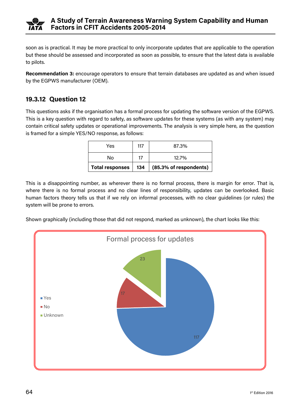

soon as is practical. It may be more practical to only incorporate updates that are applicable to the operation but these should be assessed and incorporated as soon as possible, to ensure that the latest data is available to pilots.

**Recommendation 3:** encourage operators to ensure that terrain databases are updated as and when issued by the EGPWS manufacturer (OEM).

## **19.3.12 Question 12**

This questions asks if the organisation has a formal process for updating the software version of the EGPWS. This is a key question with regard to safety, as software updates for these systems (as with any system) may contain critical safety updates or operational improvements. The analysis is very simple here, as the question is framed for a simple YES/NO response, as follows:

| Yes                    | 117 | 87.3%                  |
|------------------------|-----|------------------------|
| N٥                     | 17  | $12.7\%$               |
| <b>Total responses</b> | 134 | (85.3% of respondents) |

This is a disappointing number, as wherever there is no formal process, there is margin for error. That is, where there is no formal process and no clear lines of responsibility, updates can be overlooked. Basic human factors theory tells us that if we rely on informal processes, with no clear guidelines (or rules) the system will be prone to errors.

Shown graphically (including those that did not respond, marked as unknown), the chart looks like this:

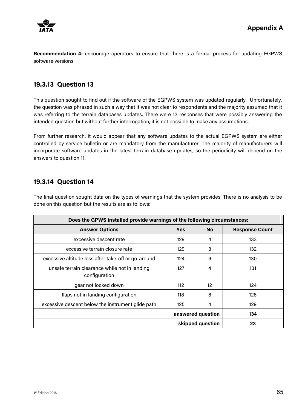

**Recommendation 4:** encourage operators to ensure that there is a formal process for updating EGPWS software versions.

## **19.3.13 Question 13**

This question sought to find out if the software of the EGPWS system was updated regularly. Unfortunately, the question was phrased in such a way that it was not clear to respondents and the majority assumed that it was referring to the terrain databases updates. There were 13 responses that were possibly answering the intended question but without further interrogation, it is not possible to make any assumptions.

From further research, it would appear that any software updates to the actual EGPWS system are either controlled by service bulletin or are mandatory from the manufacturer. The majority of manufacturers will incorporate software updates in the latest terrain database updates, so the periodicity will depend on the answers to question 11.

## **19.3.14 Question 14**

The final question sought data on the types of warnings that the system provides. There is no analysis to be done on this question but the results are as follows:

| Does the GPWS installed provide warnings of the following circumstances: |                   |           |                       |  |
|--------------------------------------------------------------------------|-------------------|-----------|-----------------------|--|
| <b>Answer Options</b>                                                    | <b>Yes</b>        | <b>No</b> | <b>Response Count</b> |  |
| excessive descent rate                                                   | 129               | 4         | 133                   |  |
| excessive terrain closure rate                                           | 129               | 3         | 132                   |  |
| excessive altitude loss after take-off or go-around                      | 124               | 6         | 130                   |  |
| unsafe terrain clearance while not in landing<br>configuration           | 127               | 4         | 131                   |  |
| gear not locked down                                                     | 112               | 12        | 124                   |  |
| flaps not in landing configuration                                       | 118               | 8         | 126                   |  |
| excessive descent below the instrument glide path                        | 125               | 4         | 129                   |  |
|                                                                          | answered question |           | 134                   |  |
|                                                                          | skipped question  |           |                       |  |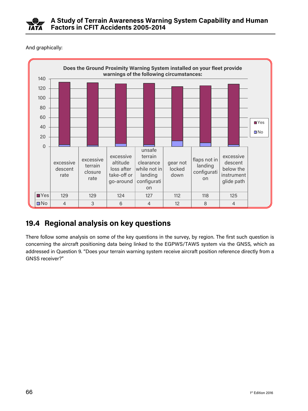

And graphically:



## **19.4 Regional analysis on key questions**

There follow some analysis on some of the key questions in the survey, by region. The first such question is concerning the aircraft positioning data being linked to the EGPWS/TAWS system via the GNSS, which as addressed in Question 9. "Does your terrain warning system receive aircraft position reference directly from a GNSS receiver?"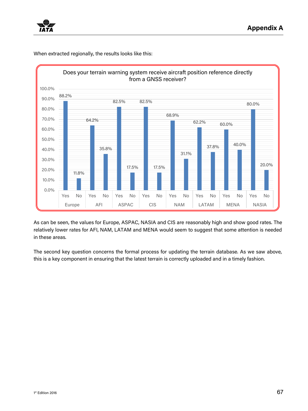



When extracted regionally, the results looks like this:

As can be seen, the values for Europe, ASPAC, NASIA and CIS are reasonably high and show good rates. The relatively lower rates for AFI, NAM, LATAM and MENA would seem to suggest that some attention is needed in these areas.

The second key question concerns the formal process for updating the terrain database. As we saw above, this is a key component in ensuring that the latest terrain is correctly uploaded and in a timely fashion.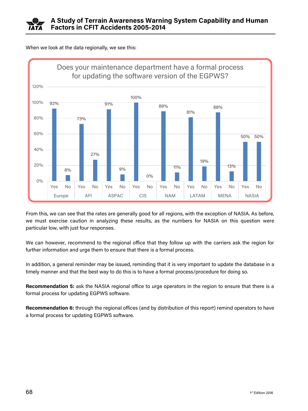

When we look at the data regionally, we see this:



From this, we can see that the rates are generally good for all regions, with the exception of NASIA. As before, we must exercise caution in analyzing these results, as the numbers for NASIA on this question were particular low, with just four responses.

We can however, recommend to the regional office that they follow up with the carriers ask the region for further information and urge them to ensure that there is a formal process.

In addition, a general reminder may be issued, reminding that it is very important to update the database in a timely manner and that the best way to do this is to have a formal process/procedure for doing so.

**Recommendation 5:** ask the NASIA regional office to urge operators in the region to ensure that there is a formal process for updating EGPWS software.

**Recommendation 6:** through the regional offices (and by distribution of this report) remind operators to have a formal process for updating EGPWS software.